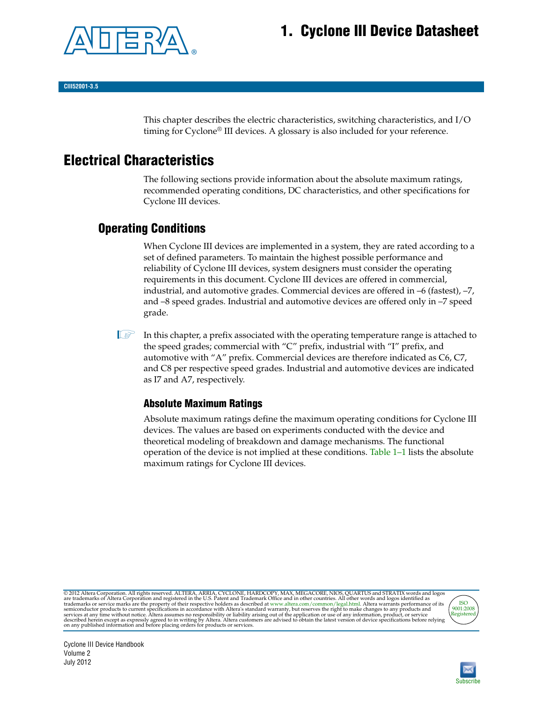# **1. Cyclone III Device Datasheet**



**CIII52001-3.5**

This chapter describes the electric characteristics, switching characteristics, and I/O timing for Cyclone® III devices. A glossary is also included for your reference.

# **Electrical Characteristics**

The following sections provide information about the absolute maximum ratings, recommended operating conditions, DC characteristics, and other specifications for Cyclone III devices.

## **Operating Conditions**

When Cyclone III devices are implemented in a system, they are rated according to a set of defined parameters. To maintain the highest possible performance and reliability of Cyclone III devices, system designers must consider the operating requirements in this document. Cyclone III devices are offered in commercial, industrial, and automotive grades. Commercial devices are offered in –6 (fastest), –7, and –8 speed grades. Industrial and automotive devices are offered only in –7 speed grade.

I In this chapter, a prefix associated with the operating temperature range is attached to the speed grades; commercial with "C" prefix, industrial with "I" prefix, and automotive with "A" prefix. Commercial devices are therefore indicated as C6, C7, and C8 per respective speed grades. Industrial and automotive devices are indicated as I7 and A7, respectively.

## **Absolute Maximum Ratings**

Absolute maximum ratings define the maximum operating conditions for Cyclone III devices. The values are based on experiments conducted with the device and theoretical modeling of breakdown and damage mechanisms. The functional operation of the device is not implied at these conditions. [Table 1–1](#page-1-0) lists the absolute maximum ratings for Cyclone III devices.

@ 2012 Altera Corporation. All rights reserved. ALTERA, ARRIA, CYCLONE, HARDCOPY, MAX, MEGACORE, NIOS, QUARTUS and STRATIX words and logos are trademarks of Altera Corporation and registered in the U.S. Patent and Trademar



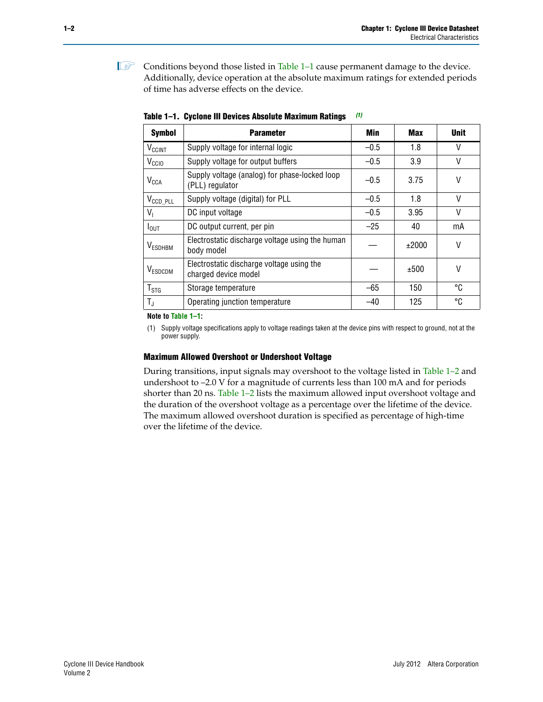**1** Conditions beyond those listed in [Table 1–1](#page-1-0) cause permanent damage to the device. Additionally, device operation at the absolute maximum ratings for extended periods of time has adverse effects on the device.

| <b>Symbol</b>         | <b>Parameter</b>                                                  | <b>Min</b> | <b>Max</b> | <b>Unit</b> |
|-----------------------|-------------------------------------------------------------------|------------|------------|-------------|
| $V_{\rm CCINT}$       | Supply voltage for internal logic                                 | $-0.5$     | 1.8        | V           |
| V <sub>CCIO</sub>     | Supply voltage for output buffers                                 | $-0.5$     | 3.9        | V           |
| $V_{CCA}$             | Supply voltage (analog) for phase-locked loop<br>(PLL) regulator  | $-0.5$     | 3.75       | V           |
| $V_{\text{CCD\_PLL}}$ | Supply voltage (digital) for PLL                                  | $-0.5$     | 1.8        | V           |
| $V_{1}$               | DC input voltage                                                  | $-0.5$     | 3.95       | V           |
| $I_{\text{OUT}}$      | DC output current, per pin                                        | $-25$      | 40         | mA          |
| V <sub>ESDHBM</sub>   | Electrostatic discharge voltage using the human<br>body model     |            | ±2000      | V           |
| V <sub>ESDCDM</sub>   | Electrostatic discharge voltage using the<br>charged device model |            | ±500       | V           |
| $T_{STG}$             | Storage temperature                                               | $-65$      | 150        | °C          |
| $T_{\rm J}$           | Operating junction temperature                                    | $-40$      | 125        | °C          |

<span id="page-1-0"></span>**Table 1–1. Cyclone III Devices Absolute Maximum Ratings** *[\(1\)](#page-1-1)*

**Note to [Table 1–1](#page-1-0):**

<span id="page-1-1"></span>(1) Supply voltage specifications apply to voltage readings taken at the device pins with respect to ground, not at the power supply.

#### **Maximum Allowed Overshoot or Undershoot Voltage**

During transitions, input signals may overshoot to the voltage listed in [Table 1–2](#page-2-0) and undershoot to –2.0 V for a magnitude of currents less than 100 mA and for periods shorter than 20 ns. [Table 1–2](#page-2-0) lists the maximum allowed input overshoot voltage and the duration of the overshoot voltage as a percentage over the lifetime of the device. The maximum allowed overshoot duration is specified as percentage of high-time over the lifetime of the device.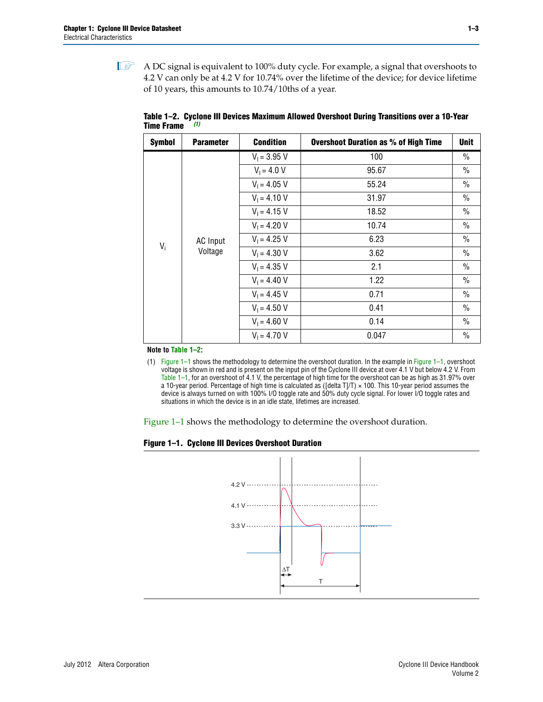$\mathbb{I}$  A DC signal is equivalent to 100% duty cycle. For example, a signal that overshoots to 4.2 V can only be at 4.2 V for 10.74% over the lifetime of the device; for device lifetime of 10 years, this amounts to 10.74/10ths of a year.

| <b>Symbol</b> | <b>Parameter</b> | <b>Condition</b> | <b>Overshoot Duration as % of High Time</b> | Unit          |
|---------------|------------------|------------------|---------------------------------------------|---------------|
|               |                  | $V_1 = 3.95 V$   | 100                                         | $\%$          |
|               |                  | $V_1 = 4.0 V$    | 95.67                                       | $\frac{0}{0}$ |
|               |                  | $V_1 = 4.05 V$   | 55.24                                       | $\frac{0}{0}$ |
|               |                  | $V_1 = 4.10 V$   | 31.97                                       | $\frac{0}{0}$ |
|               |                  | $V_1 = 4.15 V$   | 18.52                                       | $\%$          |
|               |                  | $V_1 = 4.20 V$   | 10.74                                       | $\frac{0}{0}$ |
|               | AC Input         | $V_1 = 4.25 V$   | 6.23                                        | $\%$          |
| $V_i$         | Voltage          | $V_1 = 4.30 V$   | 3.62                                        | $\%$          |
|               |                  | $V_1 = 4.35 V$   | 2.1                                         | $\frac{0}{0}$ |
|               |                  | $V_1 = 4.40 V$   | 1.22                                        | $\%$          |
|               |                  | $V_1 = 4.45 V$   | 0.71                                        | $\%$          |
|               |                  | $V_1 = 4.50 V$   | 0.41                                        | $\%$          |
|               |                  | $V_1 = 4.60 V$   | 0.14                                        | $\frac{0}{0}$ |
|               |                  | $V_1 = 4.70 V$   | 0.047                                       | $\%$          |

<span id="page-2-0"></span>**Table 1–2. Cyclone III Devices Maximum Allowed Overshoot During Transitions over a 10-Year Time Frame** *[\(1\)](#page-2-2)*

**Note to [Table 1–2](#page-2-0):**

<span id="page-2-2"></span>(1) [Figure 1–1](#page-2-1) shows the methodology to determine the overshoot duration. In the example in [Figure 1–1](#page-2-1), overshoot voltage is shown in red and is present on the input pin of the Cyclone III device at over 4.1 V but below 4.2 V. From [Table 1–1](#page-1-0), for an overshoot of 4.1 V, the percentage of high time for the overshoot can be as high as 31.97% over a 10-year period. Percentage of high time is calculated as ([delta T]/T)  $\times$  100. This 10-year period assumes the device is always turned on with 100% I/O toggle rate and 50% duty cycle signal. For lower I/O toggle rates and situations in which the device is in an idle state, lifetimes are increased.

[Figure 1–1](#page-2-1) shows the methodology to determine the overshoot duration.

<span id="page-2-1"></span>

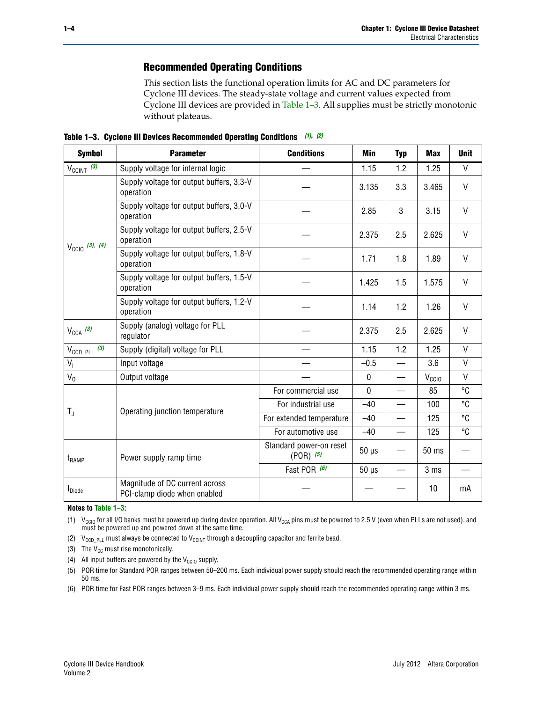## **Recommended Operating Conditions**

This section lists the functional operation limits for AC and DC parameters for Cyclone III devices. The steady-state voltage and current values expected from Cyclone III devices are provided in [Table 1–3](#page-3-6). All supplies must be strictly monotonic without plateaus.

<span id="page-3-6"></span>**Table 1–3. Cyclone III Devices Recommended Operating Conditions** *[\(1\)](#page-3-0)***,** *[\(2\)](#page-3-1)*

| <b>Symbol</b>              | <b>Parameter</b>                                               | <b>Conditions</b>                        | <b>Min</b> | <b>Typ</b> | <b>Max</b>      | <b>Unit</b>  |
|----------------------------|----------------------------------------------------------------|------------------------------------------|------------|------------|-----------------|--------------|
| $V_{CClNT}$ (3)            | Supply voltage for internal logic                              |                                          | 1.15       | 1.2        | 1.25            | $\mathsf{V}$ |
|                            | Supply voltage for output buffers, 3.3-V<br>operation          |                                          | 3.135      | 3.3        | 3.465           | $\mathsf{V}$ |
|                            | Supply voltage for output buffers, 3.0-V<br>operation          |                                          | 2.85       | 3          | 3.15            | $\vee$       |
|                            | Supply voltage for output buffers, 2.5-V<br>operation          |                                          | 2.375      | 2.5        | 2.625           | $\mathsf{V}$ |
| $V_{\text{CC10}}$ (3), (4) | Supply voltage for output buffers, 1.8-V<br>operation          |                                          | 1.71       | 1.8        | 1.89            | $\mathsf{V}$ |
|                            | Supply voltage for output buffers, 1.5-V<br>operation          |                                          | 1.425      | 1.5        | 1.575           | $\vee$       |
|                            | Supply voltage for output buffers, 1.2-V<br>operation          |                                          | 1.14       | 1.2        | 1.26            | $\vee$       |
| $V_{CCA}$ (3)              | Supply (analog) voltage for PLL<br>regulator                   |                                          | 2.375      | 2.5        | 2.625           | $\vee$       |
| $V_{\text{CCD\_PLL}}$ (3)  | Supply (digital) voltage for PLL                               |                                          | 1.15       | 1.2        | 1.25            | $\mathsf{V}$ |
| $V_{I}$                    | Input voltage                                                  |                                          | $-0.5$     |            | 3.6             | V            |
| $V_0$                      | Output voltage                                                 |                                          | $\Omega$   |            | $V_{CCIO}$      | $\vee$       |
|                            |                                                                | For commercial use                       | $\Omega$   |            | 85              | °C           |
|                            |                                                                | For industrial use                       | $-40$      | $\equiv$   | 100             | °C           |
| $T_{\rm J}$                | Operating junction temperature                                 | For extended temperature                 | $-40$      |            | 125             | °C           |
|                            |                                                                | For automotive use                       | $-40$      |            | 125             | °C           |
| $t_{\rm{RAMP}}$            | Power supply ramp time                                         | Standard power-on reset<br>$(POR)$ $(5)$ | $50 \mu s$ |            | $50$ ms         |              |
|                            |                                                                | Fast POR (6)                             | $50 \mu s$ |            | 3 <sub>ms</sub> |              |
| I <sub>Diode</sub>         | Magnitude of DC current across<br>PCI-clamp diode when enabled |                                          |            |            | 10              | mA           |

**Notes to [Table 1–3](#page-3-6):**

<span id="page-3-0"></span>(1) V<sub>CCIO</sub> for all I/O banks must be powered up during device operation. All V<sub>CCA</sub> pins must be powered to 2.5 V (even when PLLs are not used), and must be powered up and powered down at the same time.

<span id="page-3-1"></span>(2)  $V_{\text{CCD\_PLL}}$  must always be connected to  $V_{\text{CCINT}}$  through a decoupling capacitor and ferrite bead.

<span id="page-3-2"></span>(3) The  $V_{CC}$  must rise monotonically.

- <span id="page-3-3"></span>(4) All input buffers are powered by the  $V_{CCIO}$  supply.
- <span id="page-3-4"></span>(5) POR time for Standard POR ranges between 50–200 ms. Each individual power supply should reach the recommended operating range within 50 ms.

<span id="page-3-5"></span>(6) POR time for Fast POR ranges between 3–9 ms. Each individual power supply should reach the recommended operating range within 3 ms.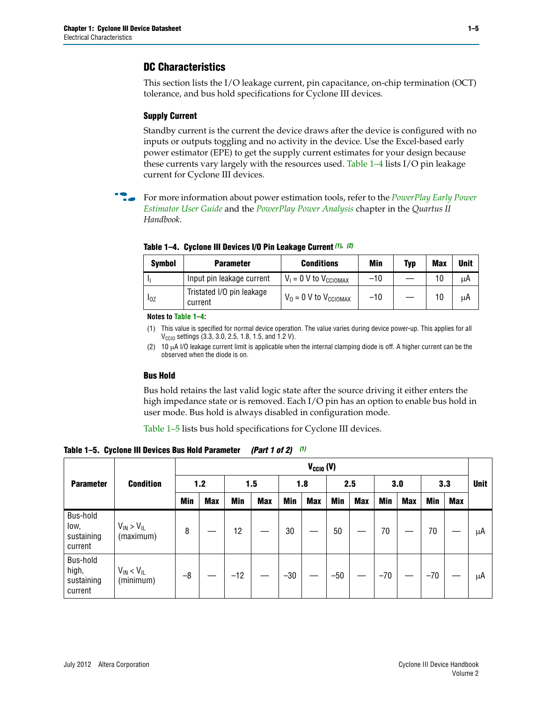## **DC Characteristics**

This section lists the I/O leakage current, pin capacitance, on-chip termination (OCT) tolerance, and bus hold specifications for Cyclone III devices.

### **Supply Current**

Standby current is the current the device draws after the device is configured with no inputs or outputs toggling and no activity in the device. Use the Excel-based early power estimator (EPE) to get the supply current estimates for your design because these currents vary largely with the resources used. [Table 1–4](#page-4-0) lists I/O pin leakage current for Cyclone III devices.

f For more information about power estimation tools, refer to the *[PowerPlay Early Power](http://www.altera.com/literature/ug/ug_epe.pdf)  [Estimator User Guide](http://www.altera.com/literature/ug/ug_epe.pdf)* and the *[PowerPlay Power Analysis](http://www.altera.com/literature/hb/qts/qts_qii53013.pdf)* chapter in the *Quartus II Handbook*.

| <b>Symbol</b> | <b>Parameter</b>                     | <b>Conditions</b>                   | Min   | Typ | <b>Max</b> | <b>Unit</b> |
|---------------|--------------------------------------|-------------------------------------|-------|-----|------------|-------------|
|               | Input pin leakage current            | $V_1 = 0$ V to $V_{\text{CCIOMAX}}$ | $-10$ |     | 10         | μA          |
| $I_{0Z}$      | Tristated I/O pin leakage<br>current | $V_0 = 0$ V to $V_{\text{CCIOMAX}}$ | $-10$ |     | 10         | μA          |

<span id="page-4-0"></span>**Table 1–4. Cyclone III Devices I/O Pin Leakage Current** *[\(1\)](#page-4-1)***,** *[\(2\)](#page-4-2)*

**Notes to [Table 1–4](#page-4-0):**

- <span id="page-4-1"></span>(1) This value is specified for normal device operation. The value varies during device power-up. This applies for all  $V_{\text{CCIO}}$  settings (3.3, 3.0, 2.5, 1.8, 1.5, and 1.2 V).
- <span id="page-4-2"></span>(2) 10 µA I/O leakage current limit is applicable when the internal clamping diode is off. A higher current can be the observed when the diode is on.

#### **Bus Hold**

Bus hold retains the last valid logic state after the source driving it either enters the high impedance state or is removed. Each I/O pin has an option to enable bus hold in user mode. Bus hold is always disabled in configuration mode.

[Table 1–5](#page-4-3) lists bus hold specifications for Cyclone III devices.

<span id="page-4-3"></span>**Table 1–5. Cyclone III Devices Bus Hold Parameter** *(Part 1 of 2) [\(1\)](#page-5-0)*

|                                            |                                  | $V_{CClO}$ (V) |            |            |            |            |            |            |            |            |            |            |     |             |
|--------------------------------------------|----------------------------------|----------------|------------|------------|------------|------------|------------|------------|------------|------------|------------|------------|-----|-------------|
| <b>Parameter</b>                           | <b>Condition</b>                 |                | $1.2$      |            | 1.5        |            | 1.8        |            | 2.5        |            | 3.0        |            | 3.3 | <b>Unit</b> |
|                                            |                                  | <b>Min</b>     | <b>Max</b> | <b>Min</b> | <b>Max</b> | <b>Min</b> | <b>Max</b> | <b>Min</b> | <b>Max</b> | <b>Min</b> | <b>Max</b> | <b>Min</b> | Max |             |
| Bus-hold<br>low,<br>sustaining<br>current  | $V_{IN}$ > $V_{IL}$<br>(maximum) | 8              |            | 12         |            | 30         |            | 50         |            | 70         |            | 70         |     | μA          |
| Bus-hold<br>high,<br>sustaining<br>current | $V_{IN} < V_{IL}$<br>(minimum)   | $-8$           |            | $-12$      |            | $-30$      |            | $-50$      |            | $-70$      |            | $-70$      |     | μA          |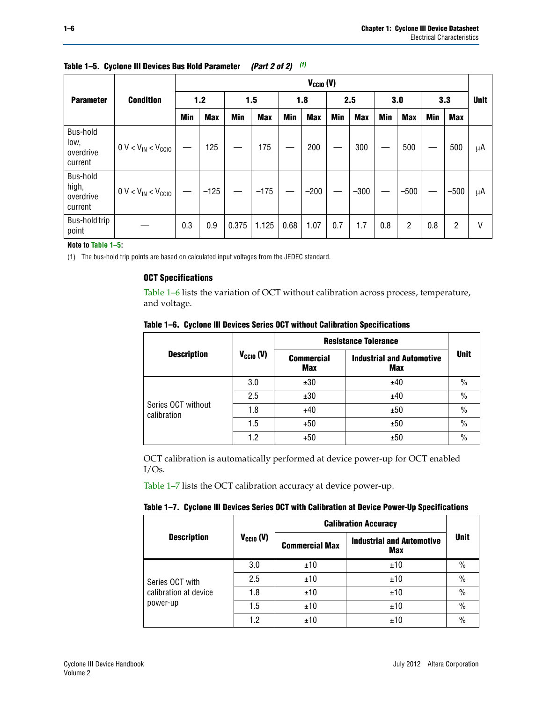| $V_{CGI0} (V)$                            |                           |            |            |            |            |            |            |            |            |            |            |            |            |             |
|-------------------------------------------|---------------------------|------------|------------|------------|------------|------------|------------|------------|------------|------------|------------|------------|------------|-------------|
| <b>Parameter</b>                          | <b>Condition</b>          |            | 1.2        |            | 1.5        |            | 1.8        |            | 2.5        |            | 3.0        |            | 3.3        | <b>Unit</b> |
|                                           |                           | <b>Min</b> | <b>Max</b> | <b>Min</b> | <b>Max</b> | <b>Min</b> | <b>Max</b> | <b>Min</b> | <b>Max</b> | <b>Min</b> | <b>Max</b> | <b>Min</b> | <b>Max</b> |             |
| Bus-hold<br>low,<br>overdrive<br>current  | $0 V < V_{IN} < V_{CGIO}$ |            | 125        |            | 175        |            | 200        |            | 300        |            | 500        |            | 500        | μA          |
| Bus-hold<br>high,<br>overdrive<br>current | $0 V < V_{IN} < V_{CGIO}$ |            | $-125$     |            | $-175$     |            | $-200$     |            | $-300$     |            | $-500$     |            | $-500$     | μA          |
| Bus-hold trip<br>point                    |                           | 0.3        | 0.9        | 0.375      | 1.125      | 0.68       | 1.07       | 0.7        | 1.7        | 0.8        | 2          | 0.8        | 2          | V           |

## **Table 1–5. Cyclone III Devices Bus Hold Parameter** *(Part 2 of 2) (1)*

**Note to [Table 1–5](#page-4-3):**

<span id="page-5-0"></span>(1) The bus-hold trip points are based on calculated input voltages from the JEDEC standard.

### **OCT Specifications**

[Table 1–6](#page-5-1) lists the variation of OCT without calibration across process, temperature, and voltage.

|                                   |                | <b>Resistance Tolerance</b>     |                                                |               |  |
|-----------------------------------|----------------|---------------------------------|------------------------------------------------|---------------|--|
| <b>Description</b>                | $V_{CGI0} (V)$ | <b>Commercial</b><br><b>Max</b> | <b>Industrial and Automotive</b><br><b>Max</b> | <b>Unit</b>   |  |
|                                   | 3.0            | ±30                             | ±40                                            | $\%$          |  |
|                                   | 2.5            | ±30                             | ±40                                            | $\%$          |  |
| Series OCT without<br>calibration | 1.8            | $+40$                           | ±50                                            | $\frac{0}{0}$ |  |
|                                   | 1.5            | $+50$                           | ±50                                            | $\frac{0}{0}$ |  |
|                                   | 1.2            | $+50$                           | ±50                                            | $\%$          |  |

<span id="page-5-1"></span>**Table 1–6. Cyclone III Devices Series OCT without Calibration Specifications**

OCT calibration is automatically performed at device power-up for OCT enabled I/Os.

[Table 1–7](#page-5-2) lists the OCT calibration accuracy at device power-up.

<span id="page-5-2"></span>

|  |  |  |  | Table 1–7. Cyclone III Devices Series OCT with Calibration at Device Power-Up Specifications |
|--|--|--|--|----------------------------------------------------------------------------------------------|
|--|--|--|--|----------------------------------------------------------------------------------------------|

|                       |                | <b>Calibration Accuracy</b> |                                         |               |
|-----------------------|----------------|-----------------------------|-----------------------------------------|---------------|
| <b>Description</b>    | $V_{CGI0} (V)$ | <b>Commercial Max</b>       | <b>Industrial and Automotive</b><br>Max |               |
|                       | 3.0            | ±10                         | ±10                                     | $\%$          |
| Series OCT with       | 2.5            | ±10                         | ±10                                     | $\frac{0}{0}$ |
| calibration at device | 1.8            | ±10                         | ±10                                     | $\frac{0}{0}$ |
| power-up              | 1.5            | ±10                         | ±10                                     | $\frac{0}{0}$ |
|                       | 1.2            | ±10                         | ±10                                     | $\frac{0}{0}$ |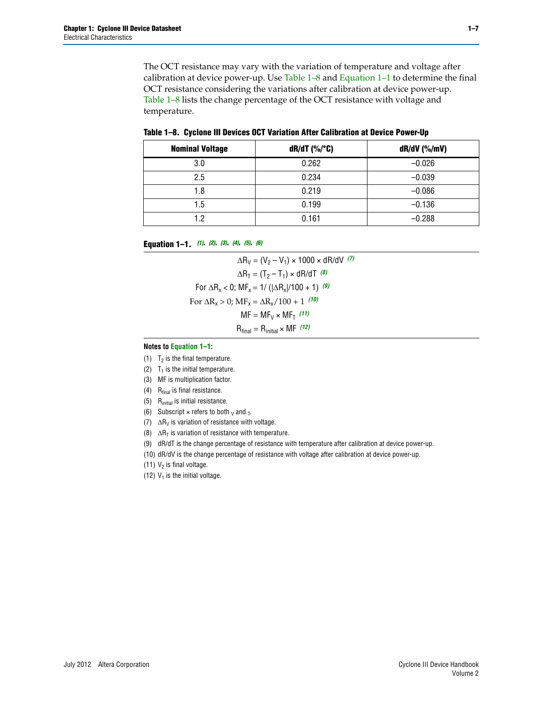The OCT resistance may vary with the variation of temperature and voltage after calibration at device power-up. Use [Table 1–8](#page-6-7) and [Equation 1–1](#page-6-0) to determine the final OCT resistance considering the variations after calibration at device power-up. [Table 1–8](#page-6-7) lists the change percentage of the OCT resistance with voltage and temperature.

<span id="page-6-7"></span>

|  | Table 1–8. Cyclone III Devices OCT Variation After Calibration at Device Power-Up |  |  |
|--|-----------------------------------------------------------------------------------|--|--|
|  |                                                                                   |  |  |

| <b>Nominal Voltage</b> | $dR/dT$ (%/°C) | $dR/dV$ (%/mV) |
|------------------------|----------------|----------------|
| 3.0                    | 0.262          | $-0.026$       |
| 2.5                    | 0.234          | $-0.039$       |
| 1.8                    | 0.219          | $-0.086$       |
| 1.5                    | 0.199          | $-0.136$       |
| 1.2                    | 0.161          | $-0.288$       |

<span id="page-6-0"></span>**Equation 1–1.** *[\(1\)](#page-6-8)***,** *[\(2\)](#page-6-9)***,** *[\(3\)](#page-6-10)***,** *[\(4\)](#page-6-11)***,** *[\(5\)](#page-6-12)***,** *[\(6\)](#page-6-13)*

 $\Delta R_V = (V_2 - V_1) \times 1000 \times dR/dV$ <sup>[\(7\)](#page-6-1)</sup>  $\Delta R_T = (T_2 - T_1) \times dR/dT$  [\(8\)](#page-6-2) For  $\Delta R_x < 0$ ; MF<sub>x</sub> = 1/ ( $|\Delta R_x|/100 + 1$ ) <sup>[\(9\)](#page-6-3)</sup> For  $\Delta R_x > 0$ ;  $\text{MF}_x = \Delta R_x / 100 + 1$  [\(10\)](#page-6-4)  $MF = MF_V \times MF_T$  [\(11\)](#page-6-5)  $R_{final} = R_{initial} \times MF$  [\(12\)](#page-6-6)

#### **Notes to [Equation 1–1:](#page-6-0)**

- <span id="page-6-8"></span>(1)  $T_2$  is the final temperature.
- <span id="page-6-9"></span>(2)  $T_1$  is the initial temperature.
- <span id="page-6-10"></span>(3) MF is multiplication factor.
- <span id="page-6-11"></span>(4)  $R_{final}$  is final resistance.
- <span id="page-6-12"></span>(5) Rinitial is initial resistance.
- <span id="page-6-13"></span>(6) Subscript  $\times$  refers to both  $\sqrt{v}$  and  $\pi$ .
- <span id="page-6-1"></span>(7)  $\Delta R_V$  is variation of resistance with voltage.
- <span id="page-6-2"></span>(8)  $\Delta R_T$  is variation of resistance with temperature.
- <span id="page-6-3"></span>(9) dR/dT is the change percentage of resistance with temperature after calibration at device power-up.
- <span id="page-6-4"></span>(10) dR/dV is the change percentage of resistance with voltage after calibration at device power-up.
- <span id="page-6-5"></span>(11)  $V_2$  is final voltage.
- <span id="page-6-6"></span>(12)  $V_1$  is the initial voltage.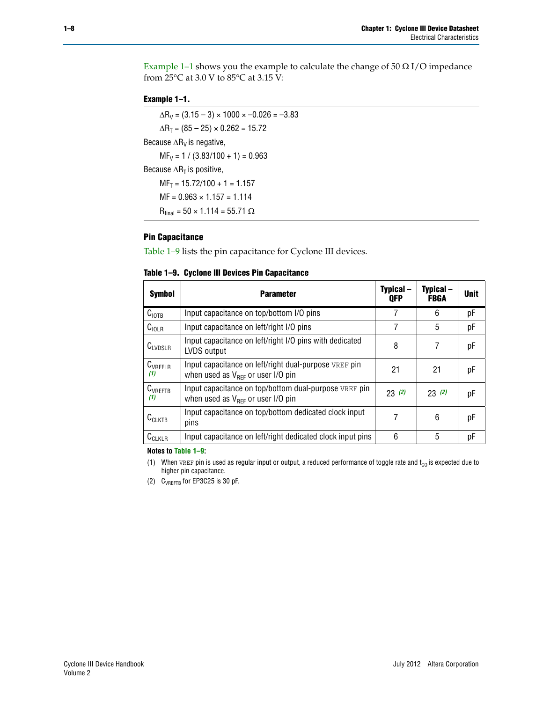Example 1-1 shows you the example to calculate the change of  $50 \Omega$  I/O impedance from 25°C at 3.0 V to 85°C at 3.15 V:

#### <span id="page-7-2"></span>**Example 1–1.**

 $\Delta R_V = (3.15 - 3) \times 1000 \times -0.026 = -3.83$  $\Delta R_T = (85 - 25) \times 0.262 = 15.72$ Because  $\Delta R_V$  is negative,  $MF_V = 1 / (3.83/100 + 1) = 0.963$ Because  $\Delta R_T$  is positive,  $MF_T = 15.72/100 + 1 = 1.157$  $MF = 0.963 \times 1.157 = 1.114$  $R_{final} = 50 \times 1.114 = 55.71 \Omega$ 

## **Pin Capacitance**

[Table 1–9](#page-7-1) lists the pin capacitance for Cyclone III devices.

<span id="page-7-1"></span>

| Table 1–9. Cyclone III Devices Pin Capacitance |  |  |  |  |
|------------------------------------------------|--|--|--|--|
|------------------------------------------------|--|--|--|--|

| <b>Symbol</b>       | <b>Parameter</b>                                                                                       | Typical –<br><b>OFP</b> | Typical –<br><b>FBGA</b> | <b>Unit</b> |
|---------------------|--------------------------------------------------------------------------------------------------------|-------------------------|--------------------------|-------------|
| C <sub>IOTB</sub>   | Input capacitance on top/bottom I/O pins                                                               | 7                       | 6                        | рF          |
| $C_{\text{IOLR}}$   | Input capacitance on left/right I/O pins                                                               | 7                       | 5                        | рF          |
| $C_{LVDSLR}$        | Input capacitance on left/right I/O pins with dedicated<br>LVDS output                                 | 8                       | 7                        | рF          |
| $C_{VREFLR}$<br>(1) | Input capacitance on left/right dual-purpose VREF pin<br>when used as $V_{\text{RFF}}$ or user I/O pin | 21                      | 21                       | рF          |
| $C_{VREFTB}$<br>(1) | Input capacitance on top/bottom dual-purpose VREF pin<br>when used as $V_{\text{RFF}}$ or user I/O pin | 23(2)                   | 23(2)                    | рF          |
| $C_{CLKTB}$         | Input capacitance on top/bottom dedicated clock input<br>pins                                          | 7                       | 6                        | рF          |
| $C_{CLKLR}$         | Input capacitance on left/right dedicated clock input pins                                             | 6                       | 5                        | рF          |

**Notes to [Table 1–9](#page-7-1):**

<span id="page-7-0"></span>(1) When VREF pin is used as regular input or output, a reduced performance of toggle rate and  $t_{CO}$  is expected due to higher pin capacitance.

<span id="page-7-3"></span>(2) CVREFTB for EP3C25 is 30 pF.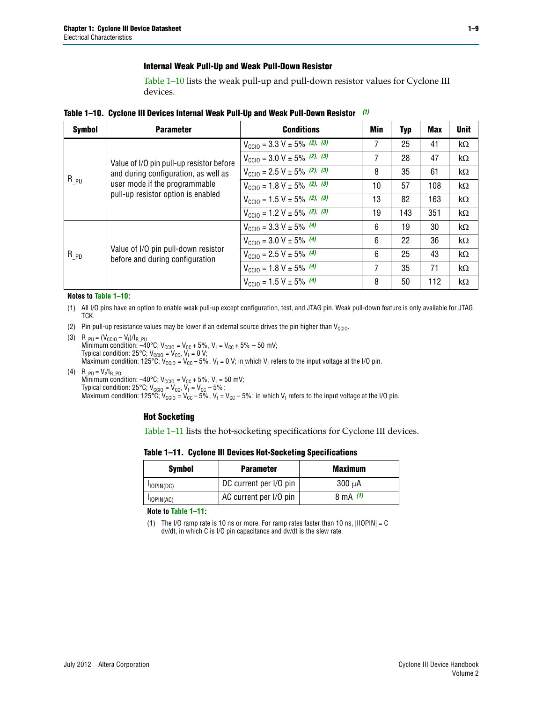#### **Internal Weak Pull-Up and Weak Pull-Down Resistor**

[Table 1–10](#page-8-6) lists the weak pull-up and pull-down resistor values for Cyclone III devices.

<span id="page-8-6"></span>**Table 1–10. Cyclone III Devices Internal Weak Pull-Up and Weak Pull-Down Resistor** *[\(1\)](#page-8-5)*

| <b>Symbol</b> | <b>Parameter</b>                                                                                            | <b>Conditions</b>                                  | Min | <b>Typ</b> | <b>Max</b> | <b>Unit</b> |
|---------------|-------------------------------------------------------------------------------------------------------------|----------------------------------------------------|-----|------------|------------|-------------|
|               |                                                                                                             | $V_{\text{CC10}} = 3.3 \text{ V} \pm 5\%$ (2), (3) | 7   | 25         | 41         | kΩ          |
|               | Value of I/O pin pull-up resistor before                                                                    | $V_{\text{CC10}} = 3.0 \text{ V} \pm 5\%$ (2), (3) | 7   | 28         | 47         | kΩ          |
| $R_{PU}$      | and during configuration, as well as<br>user mode if the programmable<br>pull-up resistor option is enabled | $V_{\text{CC10}} = 2.5 V \pm 5\%$ (2), (3)         | 8   | 35         | 61         | kΩ          |
|               |                                                                                                             | $V_{\text{CC10}} = 1.8 V \pm 5\%$ (2), (3)         | 10  | 57         | 108        | kΩ          |
|               |                                                                                                             | $V_{\text{CC10}} = 1.5 \text{ V} \pm 5\%$ (2), (3) | 13  | 82         | 163        | $k\Omega$   |
|               |                                                                                                             | $V_{\text{CC10}} = 1.2 V \pm 5\%$ (2), (3)         | 19  | 143        | 351        | kΩ          |
|               |                                                                                                             | $V_{\text{CC10}} = 3.3 V \pm 5\%$ (4)              | 6   | 19         | 30         | $k\Omega$   |
|               |                                                                                                             | $V_{\text{CC10}} = 3.0 V \pm 5\%$ (4)              | 6   | 22         | 36         | kΩ          |
| $R_{PD}$      | Value of I/O pin pull-down resistor<br>before and during configuration                                      | $V_{\text{CC10}} = 2.5 V \pm 5\%$ (4)              | 6   | 25         | 43         | kΩ          |
|               |                                                                                                             | $V_{\text{CC10}} = 1.8 V \pm 5\%$ (4)              | 7   | 35         | 71         | kΩ          |
|               |                                                                                                             | $V_{\text{CC10}} = 1.5 V \pm 5\%$ (4)              | 8   | 50         | 112        | $k\Omega$   |

#### **Notes to [Table 1–10:](#page-8-6)**

- <span id="page-8-5"></span>(1) All I/O pins have an option to enable weak pull-up except configuration, test, and JTAG pin. Weak pull-down feature is only available for JTAG TCK.
- <span id="page-8-1"></span>(2) Pin pull-up resistance values may be lower if an external source drives the pin higher than  $V_{CCIO}$ .
- <span id="page-8-2"></span>(3)  $R_{PU} = (V_{CC10} - V_1)/I_{R_PU}$ Minimum condition: –40°C; V<sub>CCIO</sub> = V<sub>CC</sub> + 5%, V<sub>I</sub> = V<sub>CC</sub> + 5% – 50 mV; Typical condition: 25°C; V<sub>CCIO</sub> = V<sub>CC</sub>, V<sub>I</sub> = 0 V; Maximum condition: 125°C; V<sub>CCIO</sub> = V<sub>CC</sub> – 5%, V<sub>I</sub> = 0 V; in which V<sub>I</sub> refers to the input voltage at the I/O pin.
- <span id="page-8-0"></span>(4)  $R_{PD} = V_I/I_{R_PD}$ Minimum condition: –40°C; V $_{\rm CCIO}$  = V $_{\rm CC}$  + 5%, V<sub>I</sub> = 50 mV; Typical condition: 25°C; V<sub>CCIO</sub> = V<sub>CC</sub>, V<sub>I</sub> = V<sub>CC</sub> – 5%; Maximum condition: 125°C; V<sub>CClO</sub> = V<sub>CC</sub> – 5%, V<sub>I</sub> = V<sub>CC</sub> – 5%; in which V<sub>I</sub> refers to the input voltage at the I/O pin.

#### **Hot Socketing**

[Table 1–11](#page-8-4) lists the hot-socketing specifications for Cyclone III devices.

<span id="page-8-4"></span>**Table 1–11. Cyclone III Devices Hot-Socketing Specifications**

| <b>Symbol</b> | <b>Parameter</b>       | <b>Maximum</b> |
|---------------|------------------------|----------------|
| $I$ IOPIN(DC) | DC current per I/O pin | 300 uA         |
| $I$ IOPIN(AC) | AC current per I/O pin | 8 mA $(1)$     |

**Note to [Table 1–11:](#page-8-4)**

<span id="page-8-3"></span>(1) The I/O ramp rate is 10 ns or more. For ramp rates faster than 10 ns,  $|IIOPIN| = C$ dv/dt, in which C is I/O pin capacitance and dv/dt is the slew rate.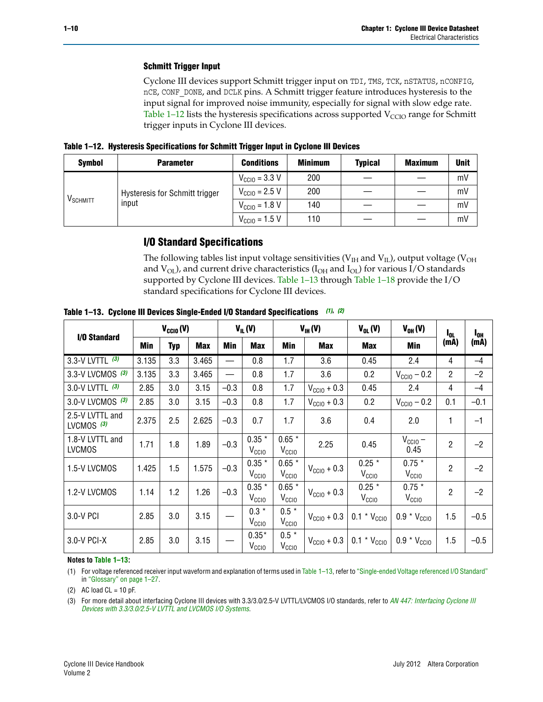## **Schmitt Trigger Input**

Cyclone III devices support Schmitt trigger input on TDI, TMS, TCK, nSTATUS, nCONFIG, nCE, CONF\_DONE, and DCLK pins. A Schmitt trigger feature introduces hysteresis to the input signal for improved noise immunity, especially for signal with slow edge rate. [Table 1–12](#page-9-3) lists the hysteresis specifications across supported  $V_{\text{CCIO}}$  range for Schmitt trigger inputs in Cyclone III devices.

<span id="page-9-3"></span>**Table 1–12. Hysteresis Specifications for Schmitt Trigger Input in Cyclone III Devices**

| <b>Symbol</b>        | <b>Parameter</b>                      | <b>Conditions</b>                 | <b>Minimum</b> | <b>Typical</b> | <b>Maximum</b> | <b>Unit</b> |
|----------------------|---------------------------------------|-----------------------------------|----------------|----------------|----------------|-------------|
| V <sub>SCHMITT</sub> |                                       | $V_{\text{CCIO}} = 3.3 \text{ V}$ | 200            |                |                | mV          |
|                      | <b>Hysteresis for Schmitt trigger</b> | $V_{\text{CC10}} = 2.5 \text{ V}$ | 200            |                |                | mV          |
|                      | input                                 | $V_{\text{CC10}} = 1.8 \text{ V}$ | 140            |                |                | mV          |
|                      |                                       | $V_{\text{CC10}} = 1.5 \text{ V}$ | 110            |                |                | mV          |

## **I/O Standard Specifications**

The following tables list input voltage sensitivities (V $_{\rm IH}$  and V $_{\rm IL}$ ), output voltage (V $_{\rm OH}$ and  $V_{OL}$ ), and current drive characteristics ( $I_{OH}$  and  $I_{OL}$ ) for various I/O standards supported by Cyclone III devices. [Table 1–13](#page-9-2) through [Table 1–18](#page-11-0) provide the I/O standard specifications for Cyclone III devices.

| I/O Standard                     |       | $V_{CCl0} (V)$ |            |        | $V_{IL}(V)$                   |                              | $V_{IH} (V)$            | $V_{OL}(V)$                   | $V_{OH} (V)$                  | l <sub>ol.</sub> | $I_{0H}$ |
|----------------------------------|-------|----------------|------------|--------|-------------------------------|------------------------------|-------------------------|-------------------------------|-------------------------------|------------------|----------|
|                                  | Min   | Typ            | <b>Max</b> | Min    | <b>Max</b>                    | Min                          | <b>Max</b>              | <b>Max</b>                    | Min                           | (mA)             | (mA)     |
| 3.3-V LVTTL $(3)$                | 3.135 | 3.3            | 3.465      |        | 0.8                           | 1.7                          | 3.6                     | 0.45                          | 2.4                           | 4                | $-4$     |
| 3.3-V LVCMOS (3)                 | 3.135 | 3.3            | 3.465      |        | 0.8                           | 1.7                          | 3.6                     | 0.2                           | $V_{\text{CGI0}} - 0.2$       | $\overline{2}$   | $-2$     |
| 3.0-V LVTTL $(3)$                | 2.85  | 3.0            | 3.15       | $-0.3$ | 0.8                           | 1.7                          | $V_{\text{CGI0}} + 0.3$ | 0.45                          | 2.4                           | 4                | $-4$     |
| 3.0-V LVCMOS (3)                 | 2.85  | 3.0            | 3.15       | $-0.3$ | 0.8                           | 1.7                          | $V_{\text{CGI0}} + 0.3$ | 0.2                           | $V_{\text{CCIO}} - 0.2$       | 0.1              | $-0.1$   |
| 2.5-V LVTTL and<br>LVCMOS $(3)$  | 2.375 | 2.5            | 2.625      | $-0.3$ | 0.7                           | 1.7                          | 3.6                     | 0.4                           | 2.0                           | 1                | $-1$     |
| 1.8-V LVTTL and<br><b>LVCMOS</b> | 1.71  | 1.8            | 1.89       | $-0.3$ | $0.35 *$<br>V <sub>CCIO</sub> | $0.65*$<br>V <sub>CCIO</sub> | 2.25                    | 0.45                          | $V_{CGIO}$ –<br>0.45          | 2                | $-2$     |
| 1.5-V LVCMOS                     | 1.425 | 1.5            | 1.575      | $-0.3$ | $0.35 *$<br>V <sub>CCIO</sub> | $0.65*$<br>V <sub>CCIO</sub> | $V_{\text{CC10}} + 0.3$ | $0.25 *$<br>V <sub>CCIO</sub> | $0.75*$<br>V <sub>CCIO</sub>  | $\overline{2}$   | $-2$     |
| 1.2-V LVCMOS                     | 1.14  | 1.2            | 1.26       | $-0.3$ | $0.35 *$<br>V <sub>CCIO</sub> | $0.65*$<br>V <sub>CCIO</sub> | $V_{\text{CC10}} + 0.3$ | $0.25 *$<br>V <sub>CCIO</sub> | $0.75 *$<br>V <sub>CCIO</sub> | $\overline{2}$   | $-2$     |
| 3.0-V PCI                        | 2.85  | 3.0            | 3.15       |        | $0.3 *$<br>V <sub>CCIO</sub>  | $0.5 *$<br>V <sub>CCIO</sub> | $V_{\text{CC10}} + 0.3$ | $0.1 * V_{CC10}$              | $0.9 * V_{CC10}$              | 1.5              | $-0.5$   |
| 3.0-V PCI-X                      | 2.85  | 3.0            | 3.15       |        | $0.35*$<br>V <sub>CCIO</sub>  | $0.5 *$<br>V <sub>CCIO</sub> | $V_{\text{CC10}} + 0.3$ | $0.1 * V_{CC10}$              | $0.9 * V_{\text{CCI0}}$       | 1.5              | $-0.5$   |

<span id="page-9-2"></span>**Table 1–13. Cyclone III Devices Single-Ended I/O Standard Specifications** *[\(1\)](#page-9-4)***,** *[\(2\)](#page-9-0)*

#### **Notes to [Table 1–13:](#page-9-2)**

<span id="page-9-4"></span>(1) For voltage referenced receiver input waveform and explanation of terms used in [Table 1–13](#page-9-2), refer to ["Single-ended Voltage referenced I/O Standard"](#page-28-0) in ["Glossary" on page 1–27.](#page-26-0)

<span id="page-9-0"></span>(2) AC load  $CL = 10$  pF.

<span id="page-9-1"></span>(3) For more detail about interfacing Cyclone III devices with 3.3/3.0/2.5-V LVTTL/LVCMOS I/O standards, refer to *[AN 447: Interfacing Cyclone III](http://www.altera.com/literature/an/an447.pdf)  [Devices with 3.3/3.0/2.5-V LVTTL and LVCMOS I/O Systems](http://www.altera.com/literature/an/an447.pdf)*.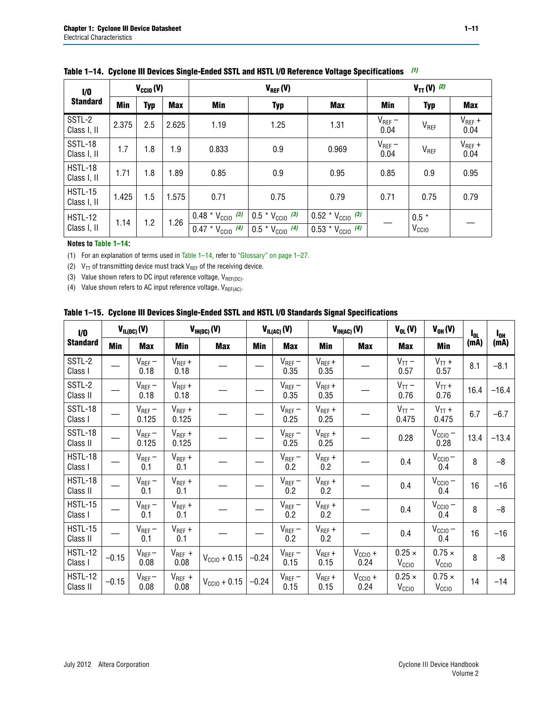| 1/0                           |       | $V_{\text{CCIO}}(V)$ |            |                              | $V_{REF}(V)$                |                              | $V_{TT} (V)$ (2)    |                   |                     |  |
|-------------------------------|-------|----------------------|------------|------------------------------|-----------------------------|------------------------------|---------------------|-------------------|---------------------|--|
| <b>Standard</b>               | Min   | <b>Typ</b>           | <b>Max</b> | Min                          | <b>Typ</b>                  | <b>Max</b>                   | Min                 | <b>Typ</b>        | <b>Max</b>          |  |
| SSTL-2<br>Class I, II         | 2.375 | 2.5                  | 2.625      | 1.19                         | 1.25                        | 1.31                         | $V_{REF}$ –<br>0.04 | V <sub>REF</sub>  | $V_{REF}$ +<br>0.04 |  |
| <b>SSTL-18</b><br>Class I, II | 1.7   | 1.8                  | 1.9        | 0.833                        | 0.9                         | 0.969                        | $V_{REF}$ –<br>0.04 | V <sub>REF</sub>  | $V_{REF}$ +<br>0.04 |  |
| HSTL-18<br>Class I, II        | 1.71  | 1.8                  | 1.89       | 0.85                         | 0.9                         | 0.95                         | 0.85                | 0.9               | 0.95                |  |
| <b>HSTL-15</b><br>Class I, II | 1.425 | 1.5                  | 1.575      | 0.71                         | 0.75                        | 0.79                         | 0.71                | 0.75              | 0.79                |  |
| <b>HSTL-12</b>                | 1.14  | 1.2                  | 1.26       | $0.48 * V_{\text{CC10}}$ (3) | $0.5 * V_{\text{CCIO}}$ (3) | $0.52 * V_{\text{CC10}}$ (3) |                     | $0.5 *$           |                     |  |
| Class I, II                   |       |                      |            | $0.47 * V_{\text{CC10}}$ (4) | $0.5 * V_{\text{CCIO}}$ (4) | $0.53 * V_{\text{CCIO}}$ (4) |                     | V <sub>CCIO</sub> |                     |  |

### <span id="page-10-3"></span>**Table 1–14. Cyclone III Devices Single-Ended SSTL and HSTL I/O Reference Voltage Specifications** *[\(1\)](#page-10-4)*

#### **Notes to [Table 1–14:](#page-10-3)**

<span id="page-10-4"></span>(1) For an explanation of terms used in [Table 1–14](#page-10-3), refer to ["Glossary" on page 1–27](#page-26-0).

<span id="page-10-0"></span>(2)  $V_{TT}$  of transmitting device must track  $V_{REF}$  of the receiving device.

<span id="page-10-1"></span>(3) Value shown refers to DC input reference voltage,  $V_{REF(DC)}$ .

<span id="page-10-2"></span>(4) Value shown refers to AC input reference voltage,  $V_{REF(AC)}$ .

|  |  | Table 1–15.  Cyclone III Devices Single-Ended SSTL and HSTL I/O Standards Signal Specifications |  |  |
|--|--|-------------------------------------------------------------------------------------------------|--|--|
|--|--|-------------------------------------------------------------------------------------------------|--|--|

| 1/0                        |            | $V_{IL(DC)}(V)$      |                      | $V_{IH(DC)}(V)$       |         | $V_{IL(AC)}(V)$     |                     | $V_{IH(AC)}(V)$      | $V_{OL}(V)$                        | $V_{OH} (V)$                       | l <sub>ol</sub> | $I_{0H}$ |
|----------------------------|------------|----------------------|----------------------|-----------------------|---------|---------------------|---------------------|----------------------|------------------------------------|------------------------------------|-----------------|----------|
| <b>Standard</b>            | <b>Min</b> | <b>Max</b>           | <b>Min</b>           | <b>Max</b>            | Min     | <b>Max</b>          | Min                 | <b>Max</b>           | <b>Max</b>                         | Min                                | (mA)            | (mA)     |
| SSTL-2<br>Class I          |            | $V_{REF}$ –<br>0.18  | $V_{REF} +$<br>0.18  |                       |         | $V_{REF}$ –<br>0.35 | $V_{REF} +$<br>0.35 |                      | $V_{TT}$ –<br>0.57                 | $V_{TT}$ +<br>0.57                 | 8.1             | $-8.1$   |
| SSTL-2<br>Class II         |            | $V_{REF}$ –<br>0.18  | $V_{REF} +$<br>0.18  |                       |         | $V_{REF}$ –<br>0.35 | $V_{REF} +$<br>0.35 |                      | $V_{TT}$ –<br>0.76                 | $V_{TT}$ +<br>0.76                 | 16.4            | $-16.4$  |
| SSTL-18<br>Class I         |            | $V_{REF}$ –<br>0.125 | $V_{REF} +$<br>0.125 |                       |         | $V_{REF}$ –<br>0.25 | $V_{REF}$ +<br>0.25 |                      | $V_{TT}$ –<br>0.475                | $V_{TT}$ +<br>0.475                | 6.7             | $-6.7$   |
| <b>SSTL-18</b><br>Class II |            | $V_{REF}$ –<br>0.125 | $V_{REF}$ +<br>0.125 |                       |         | $V_{REF}$ –<br>0.25 | $V_{REF}$ +<br>0.25 |                      | 0.28                               | $V_{CC10} -$<br>0.28               | 13.4            | $-13.4$  |
| <b>HSTL-18</b><br>Class I  |            | $V_{REF}$ –<br>0.1   | $V_{REF}$ +<br>0.1   |                       |         | $V_{REF}$ –<br>0.2  | $V_{REF}$ +<br>0.2  |                      | 0.4                                | $V_{CCIO}$ –<br>0.4                | 8               | $-8$     |
| HSTL-18<br>Class II        |            | $V_{REF}$ –<br>0.1   | $V_{REF}$ +<br>0.1   |                       |         | $V_{REF}$ –<br>0.2  | $V_{REF}$ +<br>0.2  |                      | 0.4                                | $V_{CC10} -$<br>0.4                | 16              | $-16$    |
| <b>HSTL-15</b><br>Class I  |            | $V_{REF}$ –<br>0.1   | $V_{REF}$ +<br>0.1   |                       |         | $V_{REF}$ –<br>0.2  | $V_{REF}$ +<br>0.2  |                      | 0.4                                | $V_{CC10} -$<br>0.4                | 8               | $-8$     |
| <b>HSTL-15</b><br>Class II |            | $V_{REF}$ –<br>0.1   | $V_{REF}$ +<br>0.1   |                       |         | $V_{REF}$ –<br>0.2  | $V_{REF}$ +<br>0.2  |                      | 0.4                                | $V_{\text{CC1O}} -$<br>0.4         | 16              | $-16$    |
| <b>HSTL-12</b><br>Class I  | $-0.15$    | $V_{REF}-$<br>0.08   | $V_{REF}$ +<br>0.08  | $V_{\rm CClO} + 0.15$ | $-0.24$ | $V_{REF}$ –<br>0.15 | $V_{REF} +$<br>0.15 | $V_{CCIO} +$<br>0.24 | $0.25 \times$<br>$V_{\rm CClO}$    | $0.75 \times$<br>V <sub>CCIO</sub> | 8               | $-8$     |
| <b>HSTL-12</b><br>Class II | $-0.15$    | $V_{REF}-$<br>0.08   | $V_{REF}$ +<br>0.08  | $V_{\rm CCl0} + 0.15$ | $-0.24$ | $V_{REF}$ –<br>0.15 | $V_{REF} +$<br>0.15 | $V_{CC10}$ +<br>0.24 | $0.25 \times$<br>V <sub>CCIO</sub> | $0.75 \times$<br>V <sub>CCIO</sub> | 14              | $-14$    |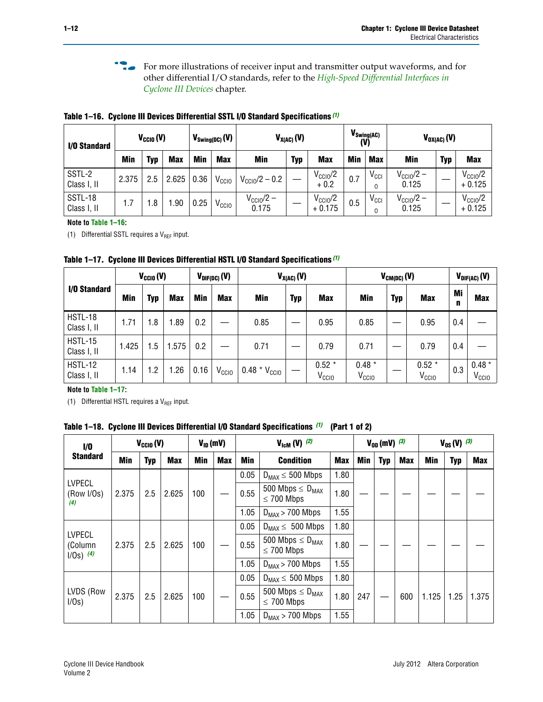**For more illustrations of receiver input and transmitter output waveforms, and for** other differential I/O standards, refer to the *[High-Speed Differential Interfaces in](http://www.altera.com/literature/hb/cyc3/cyc3_ciii51008.pdf)  [Cyclone III Devices](http://www.altera.com/literature/hb/cyc3/cyc3_ciii51008.pdf)* chapter*.*

**I/O Standard**  $V_{\text{CCIO}}(V)$   $V_{\text{Swing(DC)}}(V)$   $V_{\text{X(AC)}}(V)$   $V_{\text{X(AC)}}(V)$   $V_{\text{Swing(AC)}}$ **(V) VOX(AC) (V) Min Typ Max Min Max Min Typ Max Min Max Min Typ Max** SSTL-2  $\text{SSTL-2} \begin{array}{c|c} \text{SSTL-2} \end{array}$  2.375 2.5 2.625 0.36  $\text{V}_{\text{CC10}}\text{V}_{\text{CC10}}/2 - 0.2$   $\text{V}_{\text{CC10}}/2$  $V_{\text{CCIO}}/2$  0.7  $V_{\text{CCII}}$ O  $V_{\text{CC10}}/2$  –  $\begin{array}{cc} \text{ccio/2--} \ 0.125 \end{array} \bigg | - \bigg | \begin{array}{cc} \text{V}_\text{CCIO}/\text{2} \ + 0.125 \end{array}$ SSTL-18 Class I, II | 1.7 | 1.8 | 1.90 | 0.25 |  $V_{\text{CCIO}}$  $V_{\rm CCl0}/2 - \Big| - \Big| \begin{array}{c} V_{\rm CCl0}/2 \ + 0.175 \end{array}$  $V_{\text{CC10}}/2$  0.5  $V_{\text{CC1}}$ <br>+ 0.175 0.5  $V_{\text{CC1}}$ O  $V_{\text{CC10}}/2$  –  $\begin{array}{cc} \text{ccio/2--} \ 0.125 \end{array} \bigg | - \bigg | \begin{array}{cc} \text{V}_\text{CCIO}/\text{2} \ + 0.125 \end{array}$ 

<span id="page-11-1"></span>**Table 1–16. Cyclone III Devices Differential SSTL I/O Standard Specifications** *[\(1\)](#page-11-2)*

**Note to [Table 1–16:](#page-11-1)**

<span id="page-11-2"></span>(1) Differential SSTL requires a  $V_{REF}$  input.

<span id="page-11-3"></span>**Table 1–17. Cyclone III Devices Differential HSTL I/O Standard Specifications** *[\(1\)](#page-11-4)*

|                               | $V_{CCl0} (V)$ |     |            | $V_{\text{DIF(DC)}}(V)$ |                   | $V_{X(AC)}(V)$           |            |                              | $V_{CM(DC)}(V)$               |     |                              |         | $V_{DIF(AC)}(V)$             |  |
|-------------------------------|----------------|-----|------------|-------------------------|-------------------|--------------------------|------------|------------------------------|-------------------------------|-----|------------------------------|---------|------------------------------|--|
| I/O Standard                  | <b>Min</b>     | Typ | <b>Max</b> | <b>Min</b>              | <b>Max</b>        | Min                      | <b>Typ</b> | <b>Max</b>                   | Min                           | Typ | <b>Max</b>                   | Mi<br>n | <b>Max</b>                   |  |
| <b>HSTL-18</b><br>Class I, II | 1.71           | 1.8 | .89        | 0.2                     |                   | 0.85                     |            | 0.95                         | 0.85                          |     | 0.95                         | 0.4     |                              |  |
| <b>HSTL-15</b><br>Class I, II | 1.425          | 1.5 | 1.575      | 0.2                     |                   | 0.71                     |            | 0.79                         | 0.71                          |     | 0.79                         | 0.4     |                              |  |
| <b>HSTL-12</b><br>Class I, II | 1.14           | 1.2 | .26        | 0.16                    | V <sub>CCIO</sub> | $0.48 * V_{\text{CCIO}}$ |            | $0.52*$<br>V <sub>CCIO</sub> | $0.48 *$<br>V <sub>CCIO</sub> |     | $0.52*$<br>V <sub>CCIO</sub> | 0.3     | $0.48*$<br>V <sub>CCIO</sub> |  |

**Note to [Table 1–17:](#page-11-3)**

<span id="page-11-4"></span>(1) Differential HSTL requires a  $V_{REF}$  input.

<span id="page-11-0"></span>

|  |  | Table 1–18.  Cyclone III Devices Differential I/O Standard Specifications <sup>(1)</sup> (Part 1 of 2) |  |  |
|--|--|--------------------------------------------------------------------------------------------------------|--|--|
|--|--|--------------------------------------------------------------------------------------------------------|--|--|

| 1/0                                     |       | $V_{CGI0} (V)$ |            |            | $V_{ID}$ (mV) |      | $V_{\text{lcm}}(V)$ (2)                    |            |     | $V_{0D}$ (mV) $(3)$ |            |            | $V_{0S} (V)$ (3) |            |  |
|-----------------------------------------|-------|----------------|------------|------------|---------------|------|--------------------------------------------|------------|-----|---------------------|------------|------------|------------------|------------|--|
| <b>Standard</b>                         | Min   | <b>Typ</b>     | <b>Max</b> | <b>Min</b> | <b>Max</b>    | Min  | <b>Condition</b>                           | <b>Max</b> | Min | <b>Typ</b>          | <b>Max</b> | <b>Min</b> | <b>Typ</b>       | <b>Max</b> |  |
|                                         |       |                |            |            |               | 0.05 | $D_{MAX} \leq 500$ Mbps                    | 1.80       |     |                     |            |            |                  |            |  |
| <b>LVPECL</b><br>(Row I/Os)<br>(4)      | 2.375 | 2.5            | 2.625      | 100        |               | 0.55 | 500 Mbps $\leq D_{MAX}$<br>$\leq$ 700 Mbps | 1.80       |     |                     |            |            |                  |            |  |
|                                         |       |                |            |            |               | 1.05 | $D_{MAX}$ > 700 Mbps                       | 1.55       |     |                     |            |            |                  |            |  |
|                                         |       |                |            |            |               | 0.05 | $D_{MAX} \leq 500$ Mbps                    | 1.80       |     |                     |            |            |                  |            |  |
| <b>LVPECL</b><br>(Column<br>$1/0s)$ (4) | 2.375 | 2.5            | 2.625      | 100        |               | 0.55 | 500 Mbps $\leq D_{MAX}$<br>$\leq$ 700 Mbps | 1.80       |     |                     |            |            |                  |            |  |
|                                         |       |                |            |            |               | 1.05 | $D_{MAX}$ > 700 Mbps                       | 1.55       |     |                     |            |            |                  |            |  |
|                                         |       |                |            |            |               | 0.05 | $D_{MAX} \leq 500$ Mbps                    | 1.80       |     |                     |            |            |                  |            |  |
| LVDS (Row<br>$1/0s$ )                   | 2.375 | 2.5            | 2.625      | 100        |               | 0.55 | 500 Mbps $\leq D_{MAX}$<br>$\leq 700$ Mbps | 1.80       | 247 |                     | 600        | 1.125      | 1.25             | 1.375      |  |
|                                         |       |                |            |            |               | 1.05 | $D_{MAX}$ > 700 Mbps                       | 1.55       |     |                     |            |            |                  |            |  |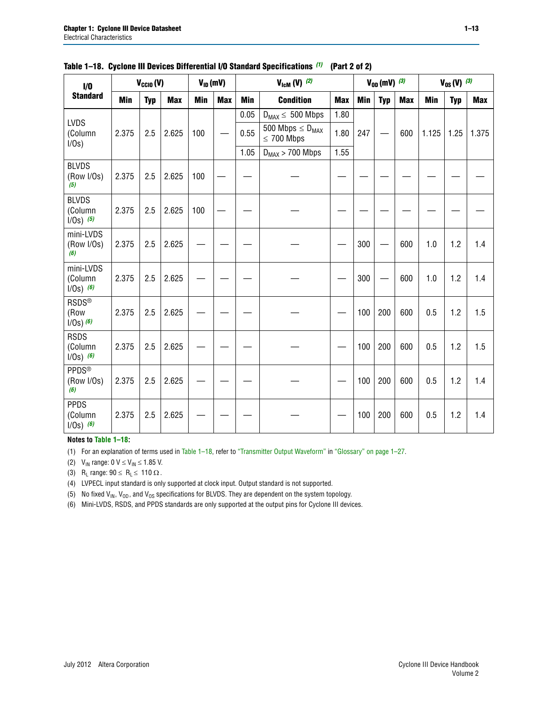| 1/0                                    |            | $V_{CClO}(V)$ |            | $V_{ID}$ (mV) |            |            | $V_{\text{lcm}}(V)$ (2)                    |            |            | $V_{0D}$ (mV) $(3)$ |            |            | $V_{0S} (V)$ (3) |       |  |
|----------------------------------------|------------|---------------|------------|---------------|------------|------------|--------------------------------------------|------------|------------|---------------------|------------|------------|------------------|-------|--|
| <b>Standard</b>                        | <b>Min</b> | <b>Typ</b>    | <b>Max</b> | <b>Min</b>    | <b>Max</b> | <b>Min</b> | <b>Condition</b>                           | <b>Max</b> | <b>Min</b> | <b>Typ</b>          | <b>Max</b> | <b>Min</b> | <b>Typ</b>       | Max   |  |
| <b>LVDS</b>                            |            |               |            |               |            | 0.05       | $D_{MAX} \leq 500$ Mbps                    | 1.80       |            |                     |            |            |                  |       |  |
| (Column<br>$I/Os$ )                    | 2.375      | 2.5           | 2.625      | 100           |            | 0.55       | 500 Mbps $\leq D_{MAX}$<br>$\leq 700$ Mbps | 1.80       | 247        |                     | 600        | 1.125      | 1.25             | 1.375 |  |
|                                        |            |               |            |               |            | 1.05       | $D_{MAX}$ > 700 Mbps                       | 1.55       |            |                     |            |            |                  |       |  |
| <b>BLVDS</b><br>(Row I/Os)<br>(5)      | 2.375      | 2.5           | 2.625      | 100           |            |            |                                            |            |            |                     |            |            |                  |       |  |
| <b>BLVDS</b><br>(Column<br>$I/Os)$ (5) | 2.375      | 2.5           | 2.625      | 100           |            |            |                                            |            |            |                     |            |            |                  |       |  |
| mini-LVDS<br>(Row I/Os)<br>(6)         | 2.375      | 2.5           | 2.625      |               |            |            |                                            |            | 300        |                     | 600        | 1.0        | 1.2              | 1.4   |  |
| mini-LVDS<br>(Column<br>$1/Os)$ (6)    | 2.375      | 2.5           | 2.625      |               |            |            |                                            |            | 300        |                     | 600        | 1.0        | 1.2              | 1.4   |  |
| <b>RSDS®</b><br>(Row<br>$1/0s$ ) $(6)$ | 2.375      | 2.5           | 2.625      |               |            |            |                                            |            | 100        | 200                 | 600        | 0.5        | 1.2              | 1.5   |  |
| <b>RSDS</b><br>(Column<br>$1/Os)$ (6)  | 2.375      | 2.5           | 2.625      |               |            |            |                                            |            | 100        | 200                 | 600        | 0.5        | 1.2              | 1.5   |  |
| <b>PPDS®</b><br>(Row I/Os)<br>(6)      | 2.375      | 2.5           | 2.625      |               |            |            |                                            |            | 100        | 200                 | 600        | 0.5        | 1.2              | 1.4   |  |
| <b>PPDS</b><br>(Column<br>$1/Os)$ (6)  | 2.375      | 2.5           | 2.625      |               |            |            |                                            |            | 100        | 200                 | 600        | 0.5        | 1.2              | 1.4   |  |

|  |  | Table 1–18. Cyclone III Devices Differential I/O Standard Specifications (1) (Part 2 of 2) |  |
|--|--|--------------------------------------------------------------------------------------------|--|
|--|--|--------------------------------------------------------------------------------------------|--|

#### **Notes to [Table 1–18:](#page-11-0)**

<span id="page-12-2"></span>(1) For an explanation of terms used in [Table 1–18](#page-11-0), refer to ["Transmitter Output Waveform"](#page-29-0) in ["Glossary" on page 1–27.](#page-26-0)

<span id="page-12-1"></span>(2)  $V_{IN}$  range: 0  $V \le V_{IN} \le 1.85$  V.

<span id="page-12-3"></span>(3) R<sub>L</sub> range:  $90 \le R_L \le 110 \Omega$ .

<span id="page-12-0"></span>(4) LVPECL input standard is only supported at clock input. Output standard is not supported.

<span id="page-12-4"></span>(5) No fixed  $V_{IN}$ ,  $V_{OD}$ , and  $V_{OS}$  specifications for BLVDS. They are dependent on the system topology.

<span id="page-12-5"></span>(6) Mini-LVDS, RSDS, and PPDS standards are only supported at the output pins for Cyclone III devices.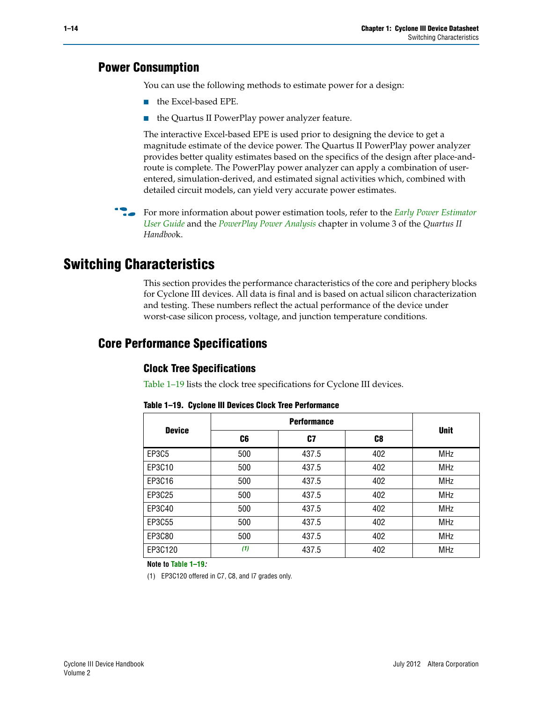## **Power Consumption**

You can use the following methods to estimate power for a design:

- the Excel-based EPE.
- the Quartus II PowerPlay power analyzer feature.

The interactive Excel-based EPE is used prior to designing the device to get a magnitude estimate of the device power. The Quartus II PowerPlay power analyzer provides better quality estimates based on the specifics of the design after place-androute is complete. The PowerPlay power analyzer can apply a combination of userentered, simulation-derived, and estimated signal activities which, combined with detailed circuit models, can yield very accurate power estimates.

**For more information about power estimation tools, refer to the** *Early Power Estimator* **<b>Format** *[User Guide](http://www.altera.com/literature/ug/ug_cyc3_epe.pdf)* and the *[PowerPlay Power Analysis](http://www.altera.com/literature/hb/qts/qts_qii53013.pdf)* chapter in volume 3 of the *Quartus II Handboo*k.

# **Switching Characteristics**

This section provides the performance characteristics of the core and periphery blocks for Cyclone III devices. All data is final and is based on actual silicon characterization and testing. These numbers reflect the actual performance of the device under worst-case silicon process, voltage, and junction temperature conditions.

## **Core Performance Specifications**

## **Clock Tree Specifications**

[Table 1–19](#page-13-1) lists the clock tree specifications for Cyclone III devices.

| <b>Device</b> |     | <b>Unit</b> |     |            |
|---------------|-----|-------------|-----|------------|
|               | C6  | C7          | C8  |            |
| EP3C5         | 500 | 437.5       | 402 | <b>MHz</b> |
| EP3C10        | 500 | 437.5       | 402 | <b>MHz</b> |
| EP3C16        | 500 | 437.5       | 402 | <b>MHz</b> |
| EP3C25        | 500 | 437.5       | 402 | <b>MHz</b> |
| EP3C40        | 500 | 437.5       | 402 | <b>MHz</b> |
| EP3C55        | 500 | 437.5       | 402 | <b>MHz</b> |
| EP3C80        | 500 | 437.5       | 402 | <b>MHz</b> |
| EP3C120       | (1) | 437.5       | 402 | <b>MHz</b> |

<span id="page-13-1"></span>**Table 1–19. Cyclone III Devices Clock Tree Performance**

**Note to [Table 1–19](#page-13-1)***:*

<span id="page-13-0"></span>(1) EP3C120 offered in C7, C8, and I7 grades only.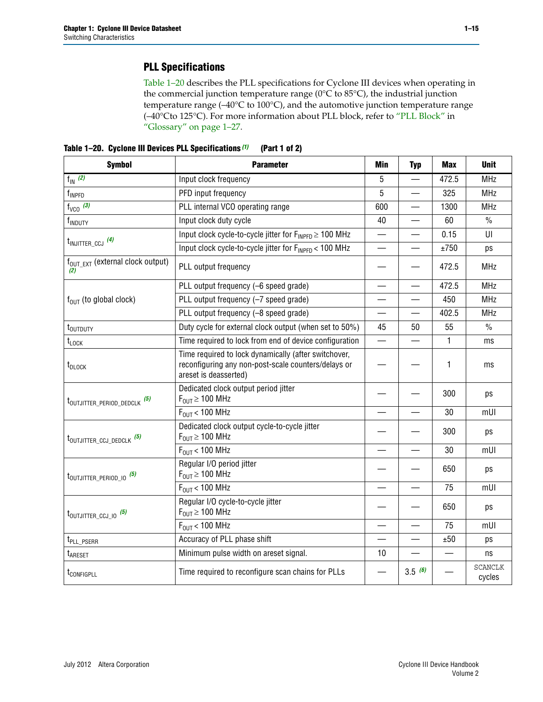## **PLL Specifications**

[Table 1–20](#page-14-0) describes the PLL specifications for Cyclone III devices when operating in the commercial junction temperature range (0°C to 85°C), the industrial junction temperature range (–40°C to 100°C), and the automotive junction temperature range (–40°Cto 125°C). For more information about PLL block, refer to ["PLL Block"](#page-27-0) in ["Glossary" on page 1–27](#page-26-0).

<span id="page-14-0"></span>**Table 1–20. Cyclone III Devices PLL Specifications** *[\(1\)](#page-15-0)* **(Part 1 of 2)**

| <b>Symbol</b>                                    | <b>Parameter</b>                                                                                                                     | Min                      | <b>Typ</b>               | <b>Max</b> | <b>Unit</b>              |
|--------------------------------------------------|--------------------------------------------------------------------------------------------------------------------------------------|--------------------------|--------------------------|------------|--------------------------|
| $f_{IN}$ (2)                                     | Input clock frequency                                                                                                                | 5                        |                          | 472.5      | <b>MHz</b>               |
| f <sub>INPFD</sub>                               | PFD input frequency                                                                                                                  | 5                        |                          | 325        | <b>MHz</b>               |
| $f_{VCO}$ (3)                                    | PLL internal VCO operating range                                                                                                     | 600                      |                          | 1300       | <b>MHz</b>               |
| f <sub>INDUTY</sub>                              | Input clock duty cycle                                                                                                               | 40                       |                          | 60         | $\frac{0}{0}$            |
| $t_{INJITTER\_CCJ}$ (4)                          | Input clock cycle-to-cycle jitter for $F_{\text{INPPD}} \geq 100 \text{ MHz}$                                                        |                          |                          | 0.15       | U                        |
|                                                  | Input clock cycle-to-cycle jitter for FINPFD < 100 MHz                                                                               |                          |                          | ±750       | ps                       |
| f <sub>OUT EXT</sub> (external clock output)     | PLL output frequency                                                                                                                 |                          |                          | 472.5      | <b>MHz</b>               |
|                                                  | PLL output frequency (-6 speed grade)                                                                                                | $\overline{\phantom{a}}$ | $\overline{\phantom{a}}$ | 472.5      | <b>MHz</b>               |
| $f_{\text{OUT}}$ (to global clock)               | PLL output frequency (-7 speed grade)                                                                                                |                          |                          | 450        | <b>MHz</b>               |
|                                                  | PLL output frequency (-8 speed grade)                                                                                                |                          |                          | 402.5      | <b>MHz</b>               |
| t <sub>outputy</sub>                             | Duty cycle for external clock output (when set to 50%)                                                                               | 45                       | 50                       | 55         | $\frac{0}{0}$            |
| $t_{\text{LOCK}}$                                | Time required to lock from end of device configuration                                                                               | $\overline{\phantom{0}}$ |                          | 1          | ms                       |
| t <sub>DLOCK</sub>                               | Time required to lock dynamically (after switchover,<br>reconfiguring any non-post-scale counters/delays or<br>areset is deasserted) |                          |                          | 1          | ms                       |
| t <sub>outjitter_period_dedclk</sub> (5)         | Dedicated clock output period jitter<br>$F_{OUT} \geq 100$ MHz                                                                       |                          |                          | 300        | ps                       |
|                                                  | $F_{OIII}$ < 100 MHz                                                                                                                 |                          |                          | 30         | mUI                      |
| t <sub>outjitter</sub> ccj dedclk <sup>(5)</sup> | Dedicated clock output cycle-to-cycle jitter<br>$F_{\text{OUT}} \geq 100 \text{ MHz}$                                                |                          |                          | 300        | ps                       |
|                                                  | $F_{\text{OUT}}$ < 100 MHz                                                                                                           |                          |                          | 30         | mUI                      |
| t <sub>outjitter_period_10</sub> <sup>(5)</sup>  | Regular I/O period jitter<br>$F_{OUT} \ge 100$ MHz                                                                                   |                          |                          | 650        | ps                       |
|                                                  | $F_{\text{OUT}}$ < 100 MHz                                                                                                           |                          |                          | 75         | mUI                      |
| $t_{\text{OUTJITTER\_CCJ\_IO}}$ (5)              | Regular I/O cycle-to-cycle jitter<br>$F_{\text{OUT}} \geq 100 \text{ MHz}$                                                           |                          |                          | 650        | ps                       |
|                                                  | $F_{OUT}$ < 100 MHz                                                                                                                  |                          |                          | 75         | mUI                      |
| t <sub>PLL_PSERR</sub>                           | Accuracy of PLL phase shift                                                                                                          |                          |                          | ±50        | ps                       |
| t <sub>ARESET</sub>                              | Minimum pulse width on areset signal.                                                                                                | 10                       |                          |            | ns                       |
| t <sub>configpll</sub>                           | Time required to reconfigure scan chains for PLLs                                                                                    |                          | 3.5(6)                   |            | <b>SCANCLK</b><br>cycles |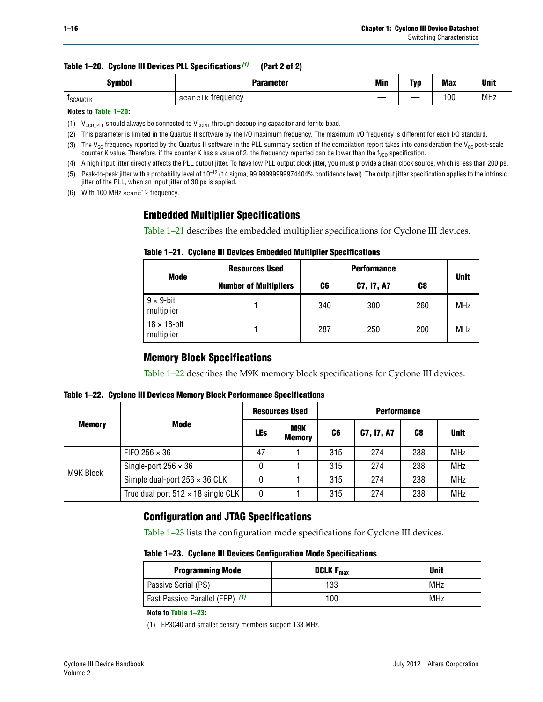|  | Table 1–20. Cyclone III Devices PLL Specifications (1) | (Part 2 of 2) |
|--|--------------------------------------------------------|---------------|
|--|--------------------------------------------------------|---------------|

| <b>Symbol</b>   | <b>Parameter</b>       | <b>Min</b> | Tvr          | <b>Max</b> | <b>Unit</b> |
|-----------------|------------------------|------------|--------------|------------|-------------|
| <b>ISCANCLK</b> | . treauencv<br>scanclk | _______    | __<br>______ | 100        | MHz         |

**Notes to [Table 1–20:](#page-14-0)**

<span id="page-15-0"></span>(1)  $V_{CCD-PLL}$  should always be connected to  $V_{CCINT}$  through decoupling capacitor and ferrite bead.

<span id="page-15-1"></span>(2) This parameter is limited in the Quartus II software by the I/O maximum frequency. The maximum I/O frequency is different for each I/O standard.

<span id="page-15-5"></span>(3) The V<sub>co</sub> frequency reported by the Quartus II software in the PLL summary section of the compilation report takes into consideration the V<sub>co</sub> post-scale counter K value. Therefore, if the counter K has a value of 2, the frequency reported can be lower than the f<sub>VCO</sub> specification.

<span id="page-15-2"></span>(4) A high input jitter directly affects the PLL output jitter. To have low PLL output clock jitter, you must provide a clean clock source, which is less than 200 ps.

<span id="page-15-3"></span>(5) Peak-to-peak jitter with a probability level of 10–12 (14 sigma, 99.99999999974404% confidence level). The output jitter specification applies to the intrinsic jitter of the PLL, when an input jitter of 30 ps is applied.

<span id="page-15-4"></span>(6) With 100 MHz scanclk frequency.

## **Embedded Multiplier Specifications**

[Table 1–21](#page-15-8) describes the embedded multiplier specifications for Cyclone III devices.

<span id="page-15-8"></span>

|  | Table 1–21. Cyclone III Devices Embedded Multiplier Specifications |  |  |
|--|--------------------------------------------------------------------|--|--|
|--|--------------------------------------------------------------------|--|--|

|                                   | <b>Resources Used</b>        |                        |     |     |             |
|-----------------------------------|------------------------------|------------------------|-----|-----|-------------|
| Mode                              | <b>Number of Multipliers</b> | C7, I7, A7<br>C8<br>C6 |     |     | <b>Unit</b> |
| $9 \times 9$ -bit<br>multiplier   |                              | 340                    | 300 | 260 | MHz         |
| $18 \times 18$ -bit<br>multiplier |                              | 287                    | 250 | 200 | MHz         |

## **Memory Block Specifications**

[Table 1–22](#page-15-9) describes the M9K memory block specifications for Cyclone III devices.

<span id="page-15-9"></span>

|  | Table 1-22. Cyclone III Devices Memory Block Performance Specifications |  |  |
|--|-------------------------------------------------------------------------|--|--|
|--|-------------------------------------------------------------------------|--|--|

|               |                                           | <b>Resources Used</b> |                      | <b>Performance</b> |            |     |             |  |
|---------------|-------------------------------------------|-----------------------|----------------------|--------------------|------------|-----|-------------|--|
| <b>Memory</b> | Mode                                      | <b>LEs</b>            | M9K<br><b>Memory</b> | C6                 | C7, I7, A7 | C8  | <b>Unit</b> |  |
| M9K Block     | FIFO 256 $\times$ 36                      | 47                    |                      | 315                | 274        | 238 | <b>MHz</b>  |  |
|               | Single-port $256 \times 36$               | 0                     |                      | 315                | 274        | 238 | <b>MHz</b>  |  |
|               | Simple dual-port $256 \times 36$ CLK      | 0                     |                      | 315                | 274        | 238 | <b>MHz</b>  |  |
|               | True dual port $512 \times 18$ single CLK | 0                     |                      | 315                | 274        | 238 | <b>MHz</b>  |  |

## **Configuration and JTAG Specifications**

[Table 1–23](#page-15-6) lists the configuration mode specifications for Cyclone III devices.

<span id="page-15-6"></span>**Table 1–23. Cyclone III Devices Configuration Mode Specifications**

| <b>Programming Mode</b>         | DCLK $F_{\text{max}}$ | <b>Unit</b> |
|---------------------------------|-----------------------|-------------|
| Passive Serial (PS)             | 133                   | <b>MHz</b>  |
| Fast Passive Parallel (FPP) (1) | 100                   | MHz         |

#### **Note to [Table 1–23:](#page-15-6)**

<span id="page-15-7"></span>(1) EP3C40 and smaller density members support 133 MHz.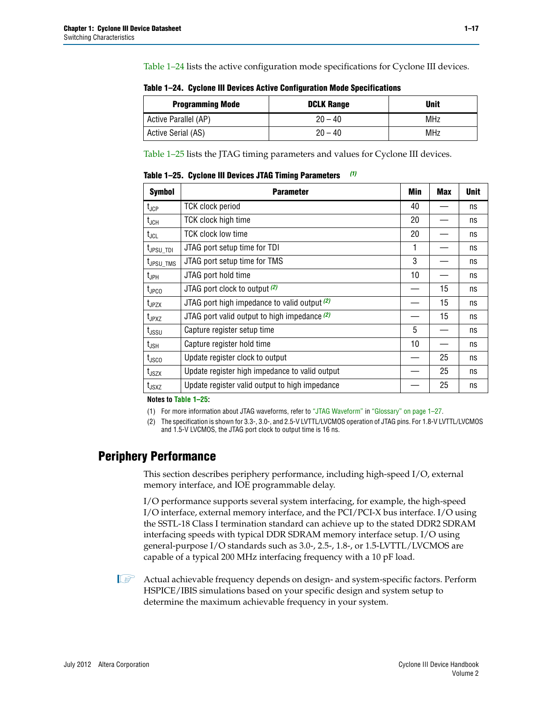[Table 1–24](#page-16-3) lists the active configuration mode specifications for Cyclone III devices.

| <b>Programming Mode</b> | <b>DCLK Range</b> | <b>Unit</b> |
|-------------------------|-------------------|-------------|
| Active Parallel (AP)    | $20 - 40$         | <b>MHz</b>  |
| Active Serial (AS)      | $20 - 40$         | <b>MHz</b>  |

<span id="page-16-3"></span>**Table 1–24. Cyclone III Devices Active Configuration Mode Specifications**

[Table 1–25](#page-16-2) lists the JTAG timing parameters and values for Cyclone III devices.

<span id="page-16-2"></span>**Table 1–25. Cyclone III Devices JTAG Timing Parameters** *[\(1\)](#page-16-1)*

| <b>Symbol</b>                | <b>Parameter</b>                               | Min | <b>Max</b> | <b>Unit</b> |
|------------------------------|------------------------------------------------|-----|------------|-------------|
| $t_{\sf JCP}$                | <b>TCK clock period</b>                        | 40  |            | ns          |
| $t_{JCH}$                    | TCK clock high time                            | 20  |            | ns          |
| $t_{\sf JCL}$                | <b>TCK clock low time</b>                      | 20  |            | ns          |
| $t_{\text{JPSU\_TDI}}$       | JTAG port setup time for TDI                   | 1   |            | ns          |
| $t_{\text{JPSU\_TMS}}$       | JTAG port setup time for TMS                   | 3   |            | ns          |
| t <sub>JPH</sub>             | JTAG port hold time                            | 10  |            | ns          |
| $t_{\text{JPCO}}$            | JTAG port clock to output (2)                  |     | 15         | ns          |
| t <sub>JPZX</sub>            | JTAG port high impedance to valid output $(2)$ |     | 15         | ns          |
| t <sub>JPXZ</sub>            | JTAG port valid output to high impedance $(2)$ |     | 15         | ns          |
| $t_{\rm JSSU}$               | Capture register setup time                    | 5   |            | ns          |
| $t_{JSH}$                    | Capture register hold time                     | 10  |            | ns          |
| $t_{\rm JSCO}$               | Update register clock to output                |     | 25         | ns          |
| t <sub>JSZX</sub>            | Update register high impedance to valid output |     | 25         | ns          |
| $t_{\footnotesize \rm JSXZ}$ | Update register valid output to high impedance |     | 25         | ns          |

**Notes to [Table 1–25:](#page-16-2)**

<span id="page-16-1"></span>(1) For more information about JTAG waveforms, refer to ["JTAG Waveform"](#page-26-1) in ["Glossary" on page 1–27](#page-26-0).

<span id="page-16-0"></span>(2) The specification is shown for 3.3-, 3.0-, and 2.5-V LVTTL/LVCMOS operation of JTAG pins. For 1.8-V LVTTL/LVCMOS and 1.5-V LVCMOS, the JTAG port clock to output time is 16 ns.

## **Periphery Performance**

This section describes periphery performance, including high-speed I/O, external memory interface, and IOE programmable delay.

I/O performance supports several system interfacing, for example, the high-speed I/O interface, external memory interface, and the PCI/PCI-X bus interface. I/O using the SSTL-18 Class I termination standard can achieve up to the stated DDR2 SDRAM interfacing speeds with typical DDR SDRAM memory interface setup. I/O using general-purpose I/O standards such as 3.0-, 2.5-, 1.8-, or 1.5-LVTTL/LVCMOS are capable of a typical 200 MHz interfacing frequency with a 10 pF load.

**1 Actual achievable frequency depends on design- and system-specific factors. Perform** HSPICE/IBIS simulations based on your specific design and system setup to determine the maximum achievable frequency in your system.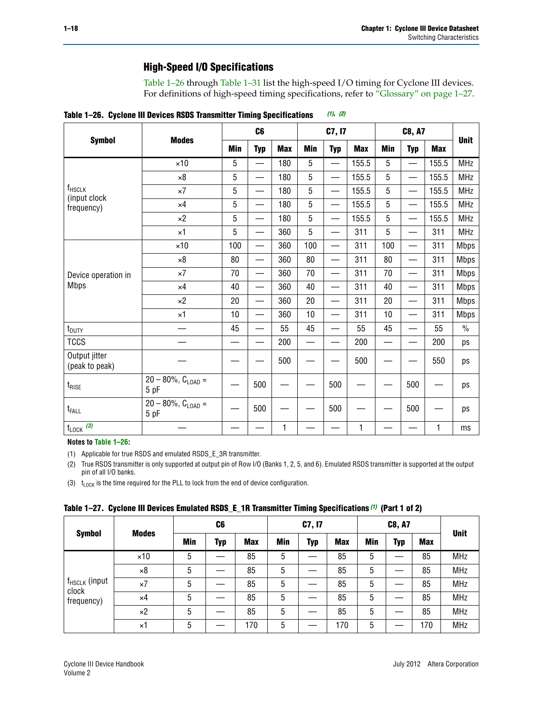## **High-Speed I/O Specifications**

[Table 1–26](#page-17-0) through [Table 1–31](#page-21-0) list the high-speed I/O timing for Cyclone III devices. For definitions of high-speed timing specifications, refer to ["Glossary" on page 1–27.](#page-26-0)

| <b>Symbol</b>                      |                                    | C <sub>6</sub> |                          | C7, I7     |                          |                          |            | <b>C8, A7</b> | <b>Unit</b>              |            |               |
|------------------------------------|------------------------------------|----------------|--------------------------|------------|--------------------------|--------------------------|------------|---------------|--------------------------|------------|---------------|
|                                    | <b>Modes</b>                       | <b>Min</b>     | <b>Typ</b>               | <b>Max</b> | <b>Min</b>               | <b>Typ</b>               | <b>Max</b> | <b>Min</b>    | <b>Typ</b>               | <b>Max</b> |               |
|                                    | $\times$ 10                        | 5              |                          | 180        | 5                        |                          | 155.5      | 5             |                          | 155.5      | <b>MHz</b>    |
|                                    | $\times 8$                         | 5              | —                        | 180        | 5                        | —                        | 155.5      | 5             | —                        | 155.5      | <b>MHz</b>    |
| f <sub>HSCLK</sub><br>(input clock | $\times 7$                         | 5              | $\overline{\phantom{0}}$ | 180        | 5                        |                          | 155.5      | 5             |                          | 155.5      | <b>MHz</b>    |
| frequency)                         | $\times 4$                         | 5              |                          | 180        | 5                        |                          | 155.5      | 5             | —                        | 155.5      | <b>MHz</b>    |
|                                    | $\times 2$                         | 5              |                          | 180        | 5                        |                          | 155.5      | 5             |                          | 155.5      | <b>MHz</b>    |
|                                    | $\times$ 1                         | 5              | $\overline{\phantom{0}}$ | 360        | 5                        |                          | 311        | 5             | $\overline{\phantom{0}}$ | 311        | <b>MHz</b>    |
|                                    | $\times 10$                        | 100            | $\overline{\phantom{0}}$ | 360        | 100                      |                          | 311        | 100           |                          | 311        | <b>Mbps</b>   |
|                                    | $\times 8$                         | 80             | $\overline{\phantom{0}}$ | 360        | 80                       |                          | 311        | 80            |                          | 311        | <b>Mbps</b>   |
| Device operation in                | $\times 7$                         | 70             | $\overline{\phantom{0}}$ | 360        | 70                       | $\overline{\phantom{0}}$ | 311        | 70            | $\overline{\phantom{0}}$ | 311        | <b>Mbps</b>   |
| <b>Mbps</b>                        | $\times 4$                         | 40             | $\overline{\phantom{0}}$ | 360        | 40                       |                          | 311        | 40            |                          | 311        | <b>Mbps</b>   |
|                                    | $\times 2$                         | 20             | $\overline{\phantom{0}}$ | 360        | 20                       |                          | 311        | 20            |                          | 311        | <b>Mbps</b>   |
|                                    | $\times$ 1                         | 10             |                          | 360        | 10                       |                          | 311        | 10            |                          | 311        | <b>Mbps</b>   |
| $t_{\text{DUTY}}$                  |                                    | 45             |                          | 55         | 45                       |                          | 55         | 45            |                          | 55         | $\frac{0}{0}$ |
| <b>TCCS</b>                        |                                    |                |                          | 200        | $\overline{\phantom{0}}$ |                          | 200        | —             |                          | 200        | ps            |
| Output jitter<br>(peak to peak)    |                                    |                |                          | 500        |                          |                          | 500        |               |                          | 550        | ps            |
| $t_{\text{RISE}}$                  | $20 - 80\%$ , $C_{LOAD} =$<br>5 pF |                | 500                      |            |                          | 500                      |            |               | 500                      |            | ps            |
| $t_{FALL}$                         | $20 - 80\%$ , $C_{LOAD} =$<br>5 pF |                | 500                      |            |                          | 500                      |            |               | 500                      |            | ps            |
| $t_{\text{LOCK}}$ (3)              |                                    |                |                          | 1          |                          |                          | 1          |               |                          | 1          | ms            |

<span id="page-17-0"></span>**Table 1–26. Cyclone III Devices RSDS Transmitter Timing Specifications** *[\(1\)](#page-17-1)***,** *[\(2\)](#page-17-2)*

### **Notes to [Table 1–26:](#page-17-0)**

<span id="page-17-1"></span>(1) Applicable for true RSDS and emulated RSDS\_E\_3R transmitter.

<span id="page-17-2"></span>(2) True RSDS transmitter is only supported at output pin of Row I/O (Banks 1, 2, 5, and 6). Emulated RSDS transmitter is supported at the output pin of all I/O banks.

<span id="page-17-3"></span>(3)  $t_{\text{LOCK}}$  is the time required for the PLL to lock from the end of device configuration.

<span id="page-17-4"></span>

| Table 1–27. Cyclone III Devices Emulated RSDS_E_1R Transmitter Timing Specifications <sup>(1)</sup> (Part 1 of 2) |  |  |  |  |  |
|-------------------------------------------------------------------------------------------------------------------|--|--|--|--|--|
|                                                                                                                   |  |  |  |  |  |

|                                    | <b>Modes</b> | C <sub>6</sub> |     |            | C7, I7 |            |            |            | <b>Unit</b> |            |            |
|------------------------------------|--------------|----------------|-----|------------|--------|------------|------------|------------|-------------|------------|------------|
| <b>Symbol</b>                      |              | Min            | Typ | <b>Max</b> | Min    | <b>Typ</b> | <b>Max</b> | <b>Min</b> | Typ         | <b>Max</b> |            |
|                                    | $\times$ 10  | 5              |     | 85         | 5      |            | 85         | 5          |             | 85         | <b>MHz</b> |
|                                    | ×8           | 5              |     | 85         | 5      |            | 85         | 5          |             | 85         | <b>MHz</b> |
| f <sub>HSCLK</sub> (input<br>clock | $\times 7$   | 5              |     | 85         | 5      |            | 85         | 5          |             | 85         | <b>MHz</b> |
| frequency)                         | $\times$ 4   | 5              |     | 85         | 5      |            | 85         | 5          |             | 85         | <b>MHz</b> |
|                                    | $\times 2$   | 5              |     | 85         | 5      |            | 85         | 5          |             | 85         | <b>MHz</b> |
|                                    | ×1           | 5              |     | 170        | 5      |            | 170        | 5          |             | 170        | <b>MHz</b> |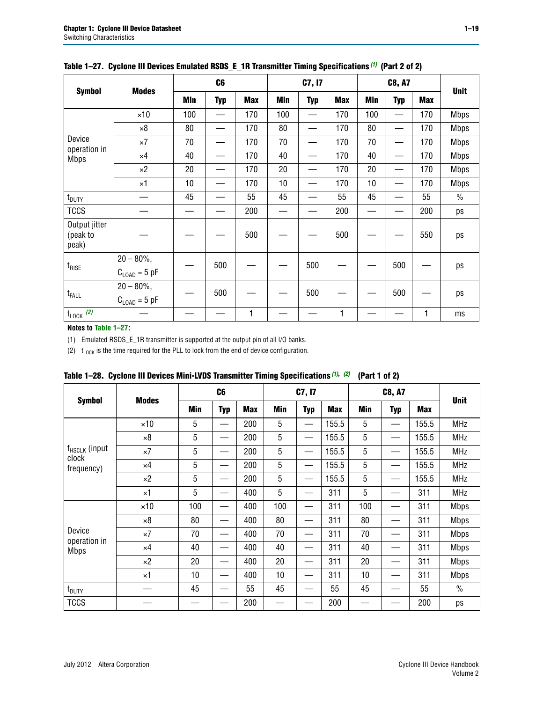|                                    |                                           |     | C <sub>6</sub> |            |     | C7, I7     |            |            | <b>Unit</b> |            |               |
|------------------------------------|-------------------------------------------|-----|----------------|------------|-----|------------|------------|------------|-------------|------------|---------------|
| <b>Symbol</b>                      | <b>Modes</b>                              | Min | <b>Typ</b>     | <b>Max</b> | Min | <b>Typ</b> | <b>Max</b> | <b>Min</b> | <b>Typ</b>  | <b>Max</b> |               |
|                                    | $\times$ 10                               | 100 |                | 170        | 100 |            | 170        | 100        | —           | 170        | <b>Mbps</b>   |
|                                    | $\times 8$                                | 80  |                | 170        | 80  |            | 170        | 80         |             | 170        | <b>Mbps</b>   |
| Device<br>operation in             | $\times 7$                                | 70  |                | 170        | 70  |            | 170        | 70         |             | 170        | <b>Mbps</b>   |
| <b>Mbps</b>                        | $\times 4$                                | 40  |                | 170        | 40  |            | 170        | 40         |             | 170        | <b>Mbps</b>   |
|                                    | $\times 2$                                | 20  |                | 170        | 20  |            | 170        | 20         |             | 170        | <b>Mbps</b>   |
|                                    | $\times 1$                                | 10  |                | 170        | 10  |            | 170        | 10         |             | 170        | <b>Mbps</b>   |
| $t_{\text{DUTY}}$                  |                                           | 45  |                | 55         | 45  |            | 55         | 45         |             | 55         | $\frac{0}{0}$ |
| <b>TCCS</b>                        |                                           |     |                | 200        |     |            | 200        |            |             | 200        | ps            |
| Output jitter<br>(peak to<br>peak) |                                           |     |                | 500        |     |            | 500        |            |             | 550        | ps            |
| $t_{\text{RISE}}$                  | $20 - 80\%$ ,<br>$C_{\text{LOAD}} = 5$ pF |     | 500            |            |     | 500        |            |            | 500         |            | ps            |
| $t_{FALL}$                         | $20 - 80\%$ ,<br>$C_{\text{LOAD}} = 5$ pF |     | 500            |            |     | 500        |            |            | 500         |            | ps            |
| $t_{\text{LOCK}}$ (2)              |                                           |     |                | 1          |     |            | 1          |            |             | 1          | ms            |

## **Table 1–27. Cyclone III Devices Emulated RSDS\_E\_1R Transmitter Timing Specifications** *(1)* **(Part 2 of 2)**

#### **Notes to [Table 1–27:](#page-17-4)**

<span id="page-18-0"></span>(1) Emulated RSDS\_E\_1R transmitter is supported at the output pin of all I/O banks.

<span id="page-18-1"></span>(2)  $t_{\text{LOCK}}$  is the time required for the PLL to lock from the end of device configuration.

|                             |              |     | C <sub>6</sub> |            |     | C7, I7     |            |            | <b>C8, A7</b> |       | <b>Unit</b>   |
|-----------------------------|--------------|-----|----------------|------------|-----|------------|------------|------------|---------------|-------|---------------|
| <b>Symbol</b>               | <b>Modes</b> | Min | Typ            | <b>Max</b> | Min | <b>Typ</b> | <b>Max</b> | <b>Min</b> | <b>Typ</b>    | Max   |               |
|                             | $\times$ 10  | 5   |                | 200        | 5   |            | 155.5      | 5          |               | 155.5 | <b>MHz</b>    |
| $f_{HSCLK}$ (input<br>clock | $\times 8$   | 5   |                | 200        | 5   |            | 155.5      | 5          |               | 155.5 | <b>MHz</b>    |
|                             | $\times 7$   | 5   |                | 200        | 5   |            | 155.5      | 5          | —             | 155.5 | <b>MHz</b>    |
| frequency)                  | $\times 4$   | 5   |                | 200        | 5   |            | 155.5      | 5          |               | 155.5 | MHz           |
|                             | $\times 2$   | 5   |                | 200        | 5   |            | 155.5      | 5          |               | 155.5 | <b>MHz</b>    |
|                             | $\times$ 1   | 5   |                | 400        | 5   |            | 311        | 5          |               | 311   | <b>MHz</b>    |
|                             | $\times$ 10  | 100 |                | 400        | 100 |            | 311        | 100        |               | 311   | <b>Mbps</b>   |
|                             | $\times 8$   | 80  |                | 400        | 80  |            | 311        | 80         |               | 311   | <b>Mbps</b>   |
| Device<br>operation in      | $\times 7$   | 70  |                | 400        | 70  |            | 311        | 70         |               | 311   | <b>Mbps</b>   |
| <b>Mbps</b>                 | $\times 4$   | 40  |                | 400        | 40  |            | 311        | 40         |               | 311   | <b>Mbps</b>   |
|                             | $\times 2$   | 20  |                | 400        | 20  |            | 311        | 20         |               | 311   | <b>Mbps</b>   |
|                             | $\times$ 1   | 10  |                | 400        | 10  |            | 311        | 10         |               | 311   | <b>Mbps</b>   |
| $t_{\text{DUTY}}$           |              | 45  |                | 55         | 45  |            | 55         | 45         |               | 55    | $\frac{0}{0}$ |
| <b>TCCS</b>                 |              |     |                | 200        |     |            | 200        |            |               | 200   | ps            |

<span id="page-18-2"></span>

|  | Table 1–28. Cyclone III Devices Mini-LVDS Transmitter Timing Specifications (1), (2) (Part 1 of 2) |  |
|--|----------------------------------------------------------------------------------------------------|--|
|--|----------------------------------------------------------------------------------------------------|--|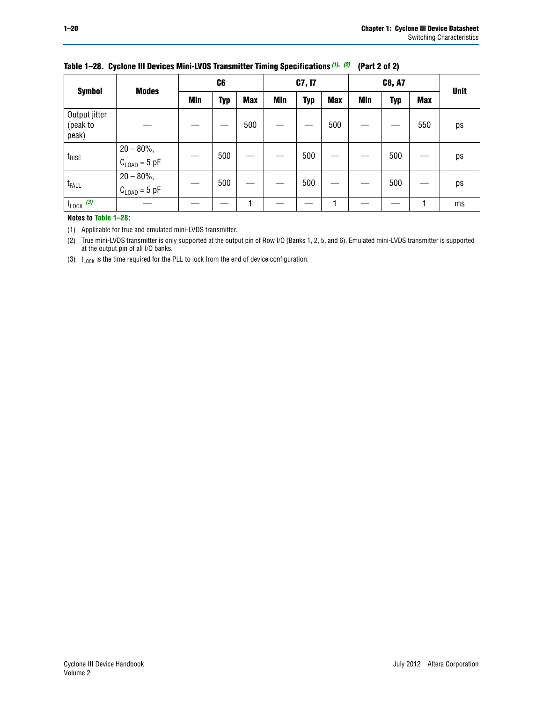|                                    | <b>Modes</b>                              | C <sub>6</sub> |     |            | C7, I7 |     |            |     | <b>Unit</b> |            |    |
|------------------------------------|-------------------------------------------|----------------|-----|------------|--------|-----|------------|-----|-------------|------------|----|
| <b>Symbol</b>                      |                                           | Min            | Typ | <b>Max</b> | Min    | Typ | <b>Max</b> | Min | <b>Typ</b>  | <b>Max</b> |    |
| Output jitter<br>(peak to<br>peak) |                                           |                |     | 500        |        |     | 500        |     |             | 550        | ps |
| $t_{\text{RISE}}$                  | $20 - 80\%$ ,<br>$C_{\text{LOAD}} = 5$ pF |                | 500 |            |        | 500 |            |     | 500         |            | ps |
| t <sub>FALL</sub>                  | $20 - 80\%$ ,<br>$C_{\text{LOAD}} = 5$ pF |                | 500 |            |        | 500 |            |     | 500         |            | ps |
| $t_{\text{LOCK}}$ (3)              |                                           |                |     |            |        |     |            |     |             |            | ms |

## **Table 1–28. Cyclone III Devices Mini-LVDS Transmitter Timing Specifications** *(1)***,** *(2)* **(Part 2 of 2)**

#### **Notes to [Table 1–28:](#page-18-2)**

<span id="page-19-0"></span>(1) Applicable for true and emulated mini-LVDS transmitter.

<span id="page-19-1"></span>(2) True mini-LVDS transmitter is only supported at the output pin of Row I/O (Banks 1, 2, 5, and 6). Emulated mini-LVDS transmitter is supported at the output pin of all I/O banks.

<span id="page-19-2"></span>(3)  $t_{\text{LOCK}}$  is the time required for the PLL to lock from the end of device configuration.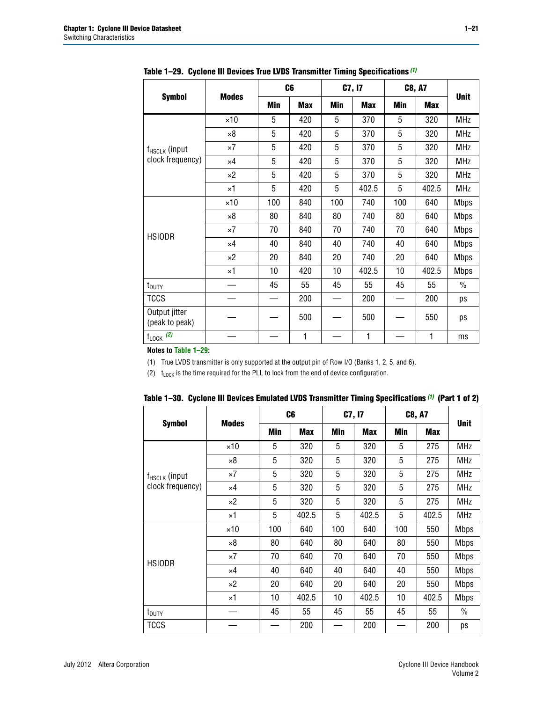|                                                | <b>Modes</b> |     | C <sub>6</sub> |     | C7, I7     |     | C8, A7     | <b>Unit</b> |
|------------------------------------------------|--------------|-----|----------------|-----|------------|-----|------------|-------------|
| <b>Symbol</b>                                  |              | Min | <b>Max</b>     | Min | <b>Max</b> | Min | <b>Max</b> |             |
|                                                | $\times$ 10  | 5   | 420            | 5   | 370        | 5   | 320        | <b>MHz</b>  |
|                                                | $\times 8$   | 5   | 420            | 5   | 370        | 5   | 320        | MHz         |
| f <sub>HSCLK</sub> (input<br>clock frequency)  | $\times 7$   | 5   | 420            | 5   | 370        | 5   | 320        | MHz         |
|                                                | $\times 4$   | 5   | 420            | 5   | 370        | 5   | 320        | <b>MHz</b>  |
|                                                | $\times 2$   | 5   | 420            | 5   | 370        | 5   | 320        | <b>MHz</b>  |
|                                                | ×1           | 5   | 420            | 5   | 402.5      | 5   | 402.5      | MHz         |
|                                                | $\times 10$  | 100 | 840            | 100 | 740        | 100 | 640        | <b>Mbps</b> |
|                                                | $\times 8$   | 80  | 840            | 80  | 740        | 80  | 640        | <b>Mbps</b> |
|                                                | $\times 7$   | 70  | 840            | 70  | 740        | 70  | 640        | <b>Mbps</b> |
| <b>HSIODR</b>                                  | $\times 4$   | 40  | 840            | 40  | 740        | 40  | 640        | <b>Mbps</b> |
|                                                | $\times 2$   | 20  | 840            | 20  | 740        | 20  | 640        | <b>Mbps</b> |
|                                                | $\times 1$   | 10  | 420            | 10  | 402.5      | 10  | 402.5      | <b>Mbps</b> |
| t <sub>DUTY</sub>                              |              | 45  | 55             | 45  | 55         | 45  | 55         | $\%$        |
| <b>TCCS</b>                                    |              |     | 200            |     | 200        |     | 200        | ps          |
| Output jitter<br>(peak to peak)                |              |     | 500            |     | 500        |     | 550        | ps          |
| $t_{\text{LOCK}}$ (2)<br>Notes to Table 1, 00- |              |     | 1              |     | 1          |     | 1          | ms          |

<span id="page-20-2"></span>**Table 1–29. Cyclone III Devices True LVDS Transmitter Timing Specifications** *[\(1\)](#page-20-0)*

**Notes to [Table 1–29:](#page-20-2)**

<span id="page-20-0"></span>(1) True LVDS transmitter is only supported at the output pin of Row I/O (Banks 1, 2, 5, and 6).

<span id="page-20-1"></span>(2)  $t_{\text{LOCK}}$  is the time required for the PLL to lock from the end of device configuration.

|                                        |              |     | C <sub>6</sub> |     | C7, I7     | <b>C8, A7</b> | <b>Unit</b> |             |
|----------------------------------------|--------------|-----|----------------|-----|------------|---------------|-------------|-------------|
| <b>Symbol</b>                          | <b>Modes</b> | Min | <b>Max</b>     | Min | <b>Max</b> | Min           | <b>Max</b>  |             |
|                                        | $\times$ 10  | 5   | 320            | 5   | 320        | 5             | 275         | <b>MHz</b>  |
| $f_{HSCLK}$ (input<br>clock frequency) | $\times 8$   | 5   | 320            | 5   | 320        | 5             | 275         | MHz         |
|                                        | ×7           | 5   | 320            | 5   | 320        | 5             | 275         | <b>MHz</b>  |
|                                        | $\times 4$   | 5   | 320            | 5   | 320        | 5             | 275         | <b>MHz</b>  |
|                                        | ×2           | 5   | 320            | 5   | 320        | 5             | 275         | <b>MHz</b>  |
|                                        | $\times 1$   | 5   | 402.5          | 5   | 402.5      | 5             | 402.5       | MHz         |
|                                        | $\times$ 10  | 100 | 640            | 100 | 640        | 100           | 550         | <b>Mbps</b> |
|                                        | ×8           | 80  | 640            | 80  | 640        | 80            | 550         | <b>Mbps</b> |
| <b>HSIODR</b>                          | $\times 7$   | 70  | 640            | 70  | 640        | 70            | 550         | <b>Mbps</b> |
|                                        | $\times$ 4   | 40  | 640            | 40  | 640        | 40            | 550         | <b>Mbps</b> |
|                                        | ×2           | 20  | 640            | 20  | 640        | 20            | 550         | <b>Mbps</b> |
|                                        | ×1           | 10  | 402.5          | 10  | 402.5      | 10            | 402.5       | <b>Mbps</b> |
| $t_{\text{DUTY}}$                      |              | 45  | 55             | 45  | 55         | 45            | 55          | $\%$        |
| <b>TCCS</b>                            |              |     | 200            |     | 200        |               | 200         | ps          |

<span id="page-20-3"></span>

|  | Table 1–30. Cyclone III Devices Emulated LVDS Transmitter Timing Specifications <sup>(1)</sup> (Part 1 of 2) |  |  |  |  |  |  |
|--|--------------------------------------------------------------------------------------------------------------|--|--|--|--|--|--|
|--|--------------------------------------------------------------------------------------------------------------|--|--|--|--|--|--|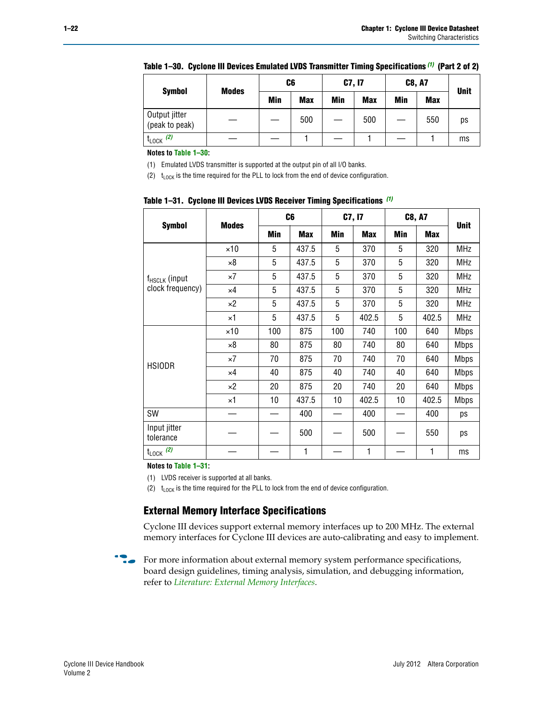|                                 |              | C6  |            | C7, I7 |            | <b>C8, A7</b> |            |             |
|---------------------------------|--------------|-----|------------|--------|------------|---------------|------------|-------------|
| <b>Symbol</b>                   | <b>Modes</b> | Min | <b>Max</b> | Min    | <b>Max</b> | Min           | <b>Max</b> | <b>Unit</b> |
| Output jitter<br>(peak to peak) |              |     | 500        |        | 500        |               | 550        | ps          |
| $t_{\text{LOCK}}$ (2)           |              |     |            |        |            |               |            | ms          |

| Table 1–30.  Cyclone III Devices Emulated LVDS Transmitter Timing Specifications <sup>(1)</sup> (Part 2 of 2) |  |
|---------------------------------------------------------------------------------------------------------------|--|

**Notes to [Table 1–30:](#page-20-3)**

<span id="page-21-1"></span>(1) Emulated LVDS transmitter is supported at the output pin of all I/O banks.

<span id="page-21-2"></span>(2)  $t_{\text{LOCK}}$  is the time required for the PLL to lock from the end of device configuration.

|                                               |              |     | C <sub>6</sub> |     | C7, I7     |     | <b>C8, A7</b> |             |
|-----------------------------------------------|--------------|-----|----------------|-----|------------|-----|---------------|-------------|
| <b>Symbol</b>                                 | <b>Modes</b> | Min | <b>Max</b>     | Min | <b>Max</b> | Min | <b>Max</b>    | <b>Unit</b> |
|                                               | $\times$ 10  | 5   | 437.5          | 5   | 370        | 5   | 320           | <b>MHz</b>  |
| f <sub>HSCLK</sub> (input<br>clock frequency) | $\times 8$   | 5   | 437.5          | 5   | 370        | 5   | 320           | <b>MHz</b>  |
|                                               | $\times 7$   | 5   | 437.5          | 5   | 370        | 5   | 320           | <b>MHz</b>  |
|                                               | ×4           | 5   | 437.5          | 5   | 370        | 5   | 320           | <b>MHz</b>  |
|                                               | $\times 2$   | 5   | 437.5          | 5   | 370        | 5   | 320           | <b>MHz</b>  |
|                                               | $\times$ 1   | 5   | 437.5          | 5   | 402.5      | 5   | 402.5         | <b>MHz</b>  |
|                                               | $\times$ 10  | 100 | 875            | 100 | 740        | 100 | 640           | <b>Mbps</b> |
|                                               | $\times 8$   | 80  | 875            | 80  | 740        | 80  | 640           | <b>Mbps</b> |
| <b>HSIODR</b>                                 | $\times 7$   | 70  | 875            | 70  | 740        | 70  | 640           | <b>Mbps</b> |
|                                               | ×4           | 40  | 875            | 40  | 740        | 40  | 640           | <b>Mbps</b> |
|                                               | $\times 2$   | 20  | 875            | 20  | 740        | 20  | 640           | <b>Mbps</b> |
|                                               | $\times 1$   | 10  | 437.5          | 10  | 402.5      | 10  | 402.5         | <b>Mbps</b> |
| <b>SW</b>                                     |              |     | 400            |     | 400        |     | 400           | ps          |
| Input jitter<br>tolerance                     |              |     | 500            |     | 500        |     | 550           | ps          |
| $t_{\text{LOCK}}$ (2)                         |              |     | 1              |     | 1          |     | 1             | ms          |

<span id="page-21-0"></span>**Table 1–31. Cyclone III Devices LVDS Receiver Timing Specifications** *[\(1\)](#page-21-3)*

**Notes to [Table 1–31:](#page-21-0)**

<span id="page-21-3"></span>(1) LVDS receiver is supported at all banks.

<span id="page-21-4"></span>(2)  $t_{\text{LOCK}}$  is the time required for the PLL to lock from the end of device configuration.

## **External Memory Interface Specifications**

Cyclone III devices support external memory interfaces up to 200 MHz. The external memory interfaces for Cyclone III devices are auto-calibrating and easy to implement.

For more information about external memory system performance specifications, board design guidelines, timing analysis, simulation, and debugging information, refer to *[Literature: External Memory Interfaces](http://www.altera.com/literature/lit-external-memory-interface.jsp?GSA_pos=1&WT.oss_r=1&WT.oss=external memory interface)*.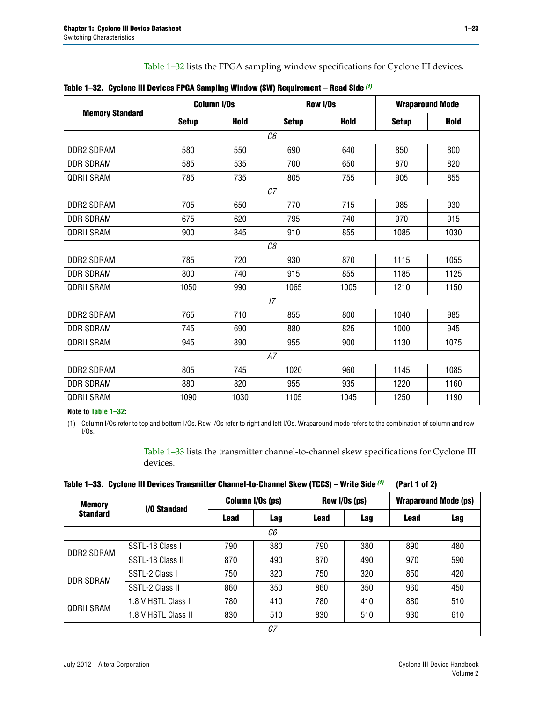[Table 1–32](#page-22-1) lists the FPGA sampling window specifications for Cyclone III devices.

|                        |                | <b>Column I/Os</b> |                | <b>Row I/Os</b> |              | <b>Wraparound Mode</b> |  |  |  |
|------------------------|----------------|--------------------|----------------|-----------------|--------------|------------------------|--|--|--|
| <b>Memory Standard</b> | <b>Setup</b>   | <b>Hold</b>        | <b>Setup</b>   | <b>Hold</b>     | <b>Setup</b> | <b>Hold</b>            |  |  |  |
|                        | C <sub>6</sub> |                    |                |                 |              |                        |  |  |  |
| <b>DDR2 SDRAM</b>      | 580            | 550                | 690            | 640             | 850          | 800                    |  |  |  |
| <b>DDR SDRAM</b>       | 585            | 535                | 700            | 650             | 870          | 820                    |  |  |  |
| <b>QDRII SRAM</b>      | 785            | 735                | 805            | 755             | 905          | 855                    |  |  |  |
|                        |                |                    | C <sub>7</sub> |                 |              |                        |  |  |  |
| <b>DDR2 SDRAM</b>      | 705            | 650                | 770            | 715             | 985          | 930                    |  |  |  |
| <b>DDR SDRAM</b>       | 675            | 620                | 795            | 740             | 970          | 915                    |  |  |  |
| <b>QDRII SRAM</b>      | 900            | 845                | 910            | 855             | 1085         | 1030                   |  |  |  |
|                        |                |                    | C8             |                 |              |                        |  |  |  |
| DDR2 SDRAM             | 785            | 720                | 930            | 870             | 1115         | 1055                   |  |  |  |
| <b>DDR SDRAM</b>       | 800            | 740                | 915            | 855             | 1185         | 1125                   |  |  |  |
| <b>QDRII SRAM</b>      | 1050           | 990                | 1065           | 1005            | 1210         | 1150                   |  |  |  |
|                        |                |                    | 17             |                 |              |                        |  |  |  |
| <b>DDR2 SDRAM</b>      | 765            | 710                | 855            | 800             | 1040         | 985                    |  |  |  |
| <b>DDR SDRAM</b>       | 745            | 690                | 880            | 825             | 1000         | 945                    |  |  |  |
| <b>QDRII SRAM</b>      | 945            | 890                | 955            | 900             | 1130         | 1075                   |  |  |  |
|                        |                |                    | A7             |                 |              |                        |  |  |  |
| <b>DDR2 SDRAM</b>      | 805            | 745                | 1020           | 960             | 1145         | 1085                   |  |  |  |
| <b>DDR SDRAM</b>       | 880            | 820                | 955            | 935             | 1220         | 1160                   |  |  |  |
| <b>QDRII SRAM</b>      | 1090           | 1030               | 1105           | 1045            | 1250         | 1190                   |  |  |  |

<span id="page-22-1"></span>**Table 1–32. Cyclone III Devices FPGA Sampling Window (SW) Requirement – Read Side** *[\(1\)](#page-22-2)*

**Note to [Table 1–32:](#page-22-1)**

<span id="page-22-2"></span>(1) Column I/Os refer to top and bottom I/Os. Row I/Os refer to right and left I/Os. Wraparound mode refers to the combination of column and row I/Os.

> [Table 1–33](#page-22-0) lists the transmitter channel-to-channel skew specifications for Cyclone III devices.

<span id="page-22-0"></span>**Table 1–33. Cyclone III Devices Transmitter Channel-to-Channel Skew (TCCS) – Write Side** *[\(1\)](#page-23-0)* **(Part 1 of 2)**

| <b>Memory</b>     |                     | Column I/Os (ps)<br>Row I/Os (ps) |     |             | <b>Wraparound Mode (ps)</b> |             |            |  |  |
|-------------------|---------------------|-----------------------------------|-----|-------------|-----------------------------|-------------|------------|--|--|
| <b>Standard</b>   | <b>I/O Standard</b> | Lead                              | Lag | <b>Lead</b> | Lag                         | <b>Lead</b> | <b>Lag</b> |  |  |
|                   | C6                  |                                   |     |             |                             |             |            |  |  |
| DDR2 SDRAM        | SSTL-18 Class I     | 790                               | 380 | 790         | 380                         | 890         | 480        |  |  |
|                   | SSTL-18 Class II    | 870                               | 490 | 870         | 490                         | 970         | 590        |  |  |
| DDR SDRAM         | SSTL-2 Class I      | 750                               | 320 | 750         | 320                         | 850         | 420        |  |  |
|                   | SSTL-2 Class II     | 860                               | 350 | 860         | 350                         | 960         | 450        |  |  |
| <b>QDRII SRAM</b> | 1.8 V HSTL Class I  | 780                               | 410 | 780         | 410                         | 880         | 510        |  |  |
|                   | 1.8 V HSTL Class II | 830                               | 510 | 830         | 510                         | 930         | 610        |  |  |
|                   | C7                  |                                   |     |             |                             |             |            |  |  |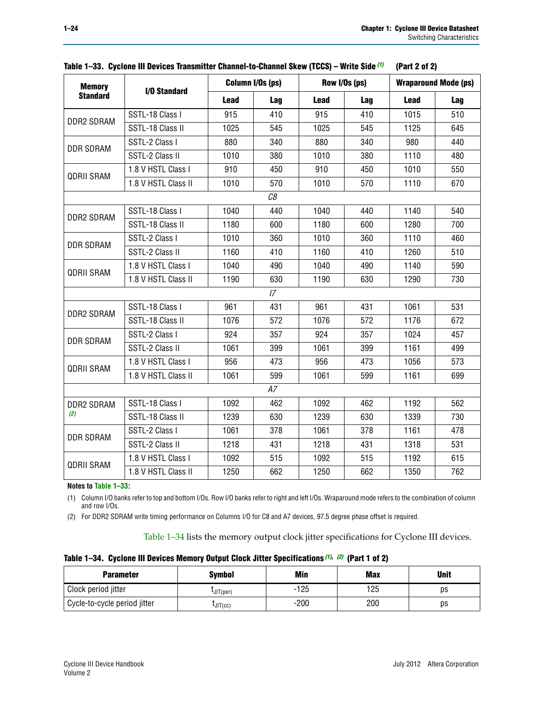| <b>Memory</b>     |                     |             | Column I/Os (ps) |             | Row I/Os (ps) |             | <b>Wraparound Mode (ps)</b> |
|-------------------|---------------------|-------------|------------------|-------------|---------------|-------------|-----------------------------|
| <b>Standard</b>   | I/O Standard        | <b>Lead</b> | Lag              | <b>Lead</b> | Lag           | <b>Lead</b> | Lag                         |
|                   | SSTL-18 Class I     | 915         | 410              | 915         | 410           | 1015        | 510                         |
| DDR2 SDRAM        | SSTL-18 Class II    | 1025        | 545              | 1025        | 545           | 1125        | 645                         |
| <b>DDR SDRAM</b>  | SSTL-2 Class I      | 880         | 340              | 880         | 340           | 980         | 440                         |
|                   | SSTL-2 Class II     | 1010        | 380              | 1010        | 380           | 1110        | 480                         |
| <b>QDRII SRAM</b> | 1.8 V HSTL Class I  | 910         | 450              | 910         | 450           | 1010        | 550                         |
|                   | 1.8 V HSTL Class II | 1010        | 570              | 1010        | 570           | 1110        | 670                         |
|                   |                     |             | C8               |             |               |             |                             |
|                   | SSTL-18 Class I     | 1040        | 440              | 1040        | 440           | 1140        | 540                         |
| DDR2 SDRAM        | SSTL-18 Class II    | 1180        | 600              | 1180        | 600           | 1280        | 700                         |
| <b>DDR SDRAM</b>  | SSTL-2 Class I      | 1010        | 360              | 1010        | 360           | 1110        | 460                         |
|                   | SSTL-2 Class II     | 1160        | 410              | 1160        | 410           | 1260        | 510                         |
|                   | 1.8 V HSTL Class I  | 1040        | 490              | 1040        | 490           | 1140        | 590                         |
| <b>QDRII SRAM</b> | 1.8 V HSTL Class II | 1190        | 630              | 1190        | 630           | 1290        | 730                         |
|                   |                     |             | 17 <sup>2</sup>  |             |               |             |                             |
| DDR2 SDRAM        | SSTL-18 Class I     | 961         | 431              | 961         | 431           | 1061        | 531                         |
|                   | SSTL-18 Class II    | 1076        | 572              | 1076        | 572           | 1176        | 672                         |
| <b>DDR SDRAM</b>  | SSTL-2 Class I      | 924         | 357              | 924         | 357           | 1024        | 457                         |
|                   | SSTL-2 Class II     | 1061        | 399              | 1061        | 399           | 1161        | 499                         |
| <b>QDRII SRAM</b> | 1.8 V HSTL Class I  | 956         | 473              | 956         | 473           | 1056        | 573                         |
|                   | 1.8 V HSTL Class II | 1061        | 599              | 1061        | 599           | 1161        | 699                         |
|                   |                     |             | A7               |             |               |             |                             |
| DDR2 SDRAM        | SSTL-18 Class I     | 1092        | 462              | 1092        | 462           | 1192        | 562                         |
| (2)               | SSTL-18 Class II    | 1239        | 630              | 1239        | 630           | 1339        | 730                         |
| <b>DDR SDRAM</b>  | SSTL-2 Class I      | 1061        | 378              | 1061        | 378           | 1161        | 478                         |
|                   | SSTL-2 Class II     | 1218        | 431              | 1218        | 431           | 1318        | 531                         |
| QDRII SRAM        | 1.8 V HSTL Class I  | 1092        | 515              | 1092        | 515           | 1192        | 615                         |
|                   | 1.8 V HSTL Class II | 1250        | 662              | 1250        | 662           | 1350        | 762                         |

|  | Table 1–33. Cyclone III Devices Transmitter Channel-to-Channel Skew (TCCS) – Write Side (1) (Part 2 of 2) |  |  |
|--|-----------------------------------------------------------------------------------------------------------|--|--|
|  |                                                                                                           |  |  |

#### **Notes to [Table 1–33:](#page-22-0)**

<span id="page-23-0"></span>(1) Column I/O banks refer to top and bottom I/Os. Row I/O banks refer to right and left I/Os. Wraparound mode refers to the combination of column and row I/Os.

<span id="page-23-2"></span>(2) For DDR2 SDRAM write timing performance on Columns I/O for C8 and A7 devices, 97.5 degree phase offset is required.

[Table 1–34](#page-23-1) lists the memory output clock jitter specifications for Cyclone III devices.

<span id="page-23-1"></span>

|  | Table 1-34. Cyclone III Devices Memory Output Clock Jitter Specifications (1), (2) (Part 1 of 2) |  |  |  |
|--|--------------------------------------------------------------------------------------------------|--|--|--|
|--|--------------------------------------------------------------------------------------------------|--|--|--|

| <b>Parameter</b>             | <b>Symbol</b> | Min    | <b>Max</b> | <b>Unit</b> |
|------------------------------|---------------|--------|------------|-------------|
| Clock period jitter          | UIT(per)      | -125   | 125        | рs          |
| Cycle-to-cycle period jitter | JIT(cc)       | $-200$ | 200        | ps          |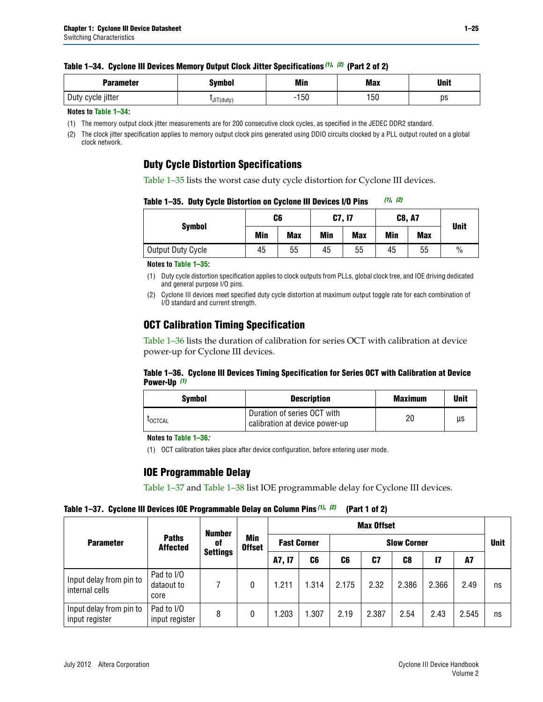|  | Table 1-34. Cyclone III Devices Memory Output Clock Jitter Specifications (1), (2) (Part 2 of 2) |  |  |  |
|--|--------------------------------------------------------------------------------------------------|--|--|--|
|--|--------------------------------------------------------------------------------------------------|--|--|--|

| <b>Parameter</b>     | Symbol  | Min        | <b>Max</b> | <b>Unit</b> |
|----------------------|---------|------------|------------|-------------|
| cycle jitter<br>Duty | T(duty) | 150<br>- 1 | I50        | ps          |

#### **Notes to [Table 1–34:](#page-23-1)**

<span id="page-24-0"></span>(1) The memory output clock jitter measurements are for 200 consecutive clock cycles, as specified in the JEDEC DDR2 standard.

<span id="page-24-1"></span>(2) The clock jitter specification applies to memory output clock pins generated using DDIO circuits clocked by a PLL output routed on a global clock network.

## **Duty Cycle Distortion Specifications**

[Table 1–35](#page-24-3) lists the worst case duty cycle distortion for Cyclone III devices.

<span id="page-24-3"></span>**Table 1–35. Duty Cycle Distortion on Cyclone III Devices I/O Pins** *[\(1\)](#page-24-2)***,** *[\(2\)](#page-24-5)*

|                   | C6         |            | C7, I7     |            | <b>C8, A7</b> |            | <b>Unit</b>   |  |
|-------------------|------------|------------|------------|------------|---------------|------------|---------------|--|
| <b>Symbol</b>     | <b>Min</b> | <b>Max</b> | <b>Min</b> | <b>Max</b> | Min           | <b>Max</b> |               |  |
| Output Duty Cycle | 45         | 55         | 45         | 55         | 45            | 55         | $\frac{0}{0}$ |  |

#### **Notes to [Table 1–35:](#page-24-3)**

<span id="page-24-2"></span>(1) Duty cycle distortion specification applies to clock outputs from PLLs, global clock tree, and IOE driving dedicated and general purpose I/O pins.

<span id="page-24-5"></span>(2) Cyclone III devices meet specified duty cycle distortion at maximum output toggle rate for each combination of I/O standard and current strength.

## **OCT Calibration Timing Specification**

[Table 1–36](#page-24-6) lists the duration of calibration for series OCT with calibration at device power-up for Cyclone III devices.

#### <span id="page-24-6"></span>**Table 1–36. Cyclone III Devices Timing Specification for Series OCT with Calibration at Device Power-Up** *[\(1\)](#page-24-7)*

| Svmbol  | <b>Description</b>                                            | <b>Maximum</b> | Unit |
|---------|---------------------------------------------------------------|----------------|------|
| LOCTCAL | Duration of series OCT with<br>calibration at device power-up | 20             | иs   |

**Notes to [Table 1–36](#page-24-6)***:*

<span id="page-24-7"></span>(1) OCT calibration takes place after device configuration, before entering user mode.

## **IOE Programmable Delay**

[Table 1–37](#page-24-4) and [Table 1–38](#page-25-0) list IOE programmable delay for Cyclone III devices.

<span id="page-24-4"></span>**Table 1–37. Cyclone III Devices IOE Programmable Delay on Column Pins** *[\(1\)](#page-25-1)***,** *[\(2\)](#page-25-2)* **(Part 1 of 2)**

| <b>Parameter</b>                          |                                  | <b>Number</b>   |                      |        |                    |       | <b>Max Offset</b> |                    |       |           |             |  |
|-------------------------------------------|----------------------------------|-----------------|----------------------|--------|--------------------|-------|-------------------|--------------------|-------|-----------|-------------|--|
|                                           | <b>Paths</b><br><b>Affected</b>  | 0f              | Min<br><b>Offset</b> |        | <b>Fast Corner</b> |       |                   | <b>Slow Corner</b> |       |           | <b>Unit</b> |  |
|                                           |                                  | <b>Settings</b> |                      | A7, I7 | C6                 | C6    | C7                | C <sub>8</sub>     | 17    | <b>A7</b> |             |  |
| Input delay from pin to<br>internal cells | Pad to I/O<br>dataout to<br>core |                 | 0                    | 1.211  | 1.314              | 2.175 | 2.32              | 2.386              | 2.366 | 2.49      | ns          |  |
| Input delay from pin to<br>input register | Pad to I/O<br>input register     | 8               | 0                    | 1.203  | 1.307              | 2.19  | 2.387             | 2.54               | 2.43  | 2.545     | ns          |  |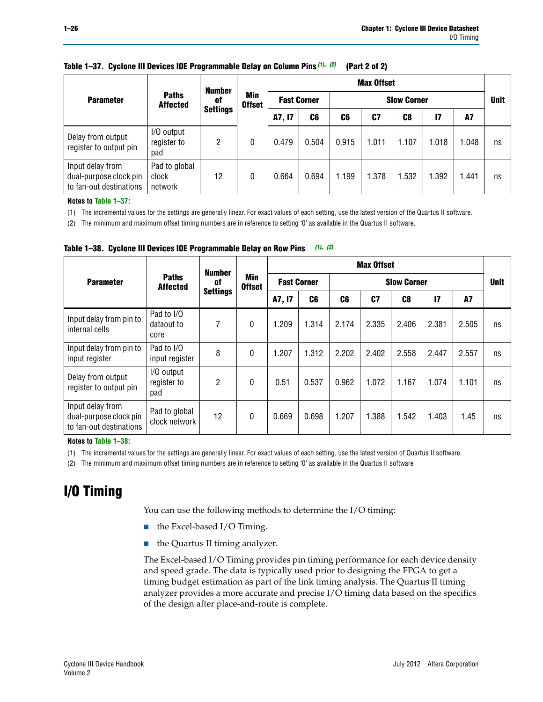|                                                                       | <b>Number</b>                     |                 |                      | <b>Max Offset</b>  |       |                    |       |       |       |       |             |
|-----------------------------------------------------------------------|-----------------------------------|-----------------|----------------------|--------------------|-------|--------------------|-------|-------|-------|-------|-------------|
| <b>Parameter</b>                                                      | <b>Paths</b><br><b>Affected</b>   | 0f              | Min<br><b>Offset</b> | <b>Fast Corner</b> |       | <b>Slow Corner</b> |       |       |       |       | <b>Unit</b> |
|                                                                       |                                   | <b>Settings</b> |                      | A7, I7             | C6    | C6                 | C7    | C8    | 17    | A7    |             |
| Delay from output<br>register to output pin                           | I/O output<br>register to<br>pad  | 2               | 0                    | 0.479              | 0.504 | 0.915              | 1.011 | 1.107 | 1.018 | 1.048 | ns          |
| Input delay from<br>dual-purpose clock pin<br>to fan-out destinations | Pad to global<br>clock<br>network | 12              | 0                    | 0.664              | 0.694 | 1.199              | 1.378 | .532  | 1.392 | 1.441 | ns          |

### **Table 1–37. Cyclone III Devices IOE Programmable Delay on Column Pins** *(1)***,** *(2)* **(Part 2 of 2)**

**Notes to [Table 1–37:](#page-24-4)**

<span id="page-25-1"></span>(1) The incremental values for the settings are generally linear. For exact values of each setting, use the latest version of the Quartus II software.

<span id="page-25-2"></span>(2) The minimum and maximum offset timing numbers are in reference to setting '0' as available in the Quartus II software.

<span id="page-25-0"></span>**Table 1–38. Cyclone III Devices IOE Programmable Delay on Row Pins** *[\(1\)](#page-25-3)***,** *[\(2\)](#page-25-4)*

|                                                                       |                                  | <b>Number</b>         | Min<br><b>Offset</b> | <b>Max Offset</b>  |       |                    |       |       |       |             |    |
|-----------------------------------------------------------------------|----------------------------------|-----------------------|----------------------|--------------------|-------|--------------------|-------|-------|-------|-------------|----|
| <b>Parameter</b>                                                      | <b>Paths</b><br><b>Affected</b>  | 0f<br><b>Settings</b> |                      | <b>Fast Corner</b> |       | <b>Slow Corner</b> |       |       |       | <b>Unit</b> |    |
|                                                                       |                                  |                       |                      | A7, I7             | C6    | C6                 | C7    | C8    | 17    | <b>A7</b>   |    |
| Input delay from pin to<br>internal cells                             | Pad to I/O<br>dataout to<br>core | 7                     | 0                    | 1.209              | 1.314 | 2.174              | 2.335 | 2.406 | 2.381 | 2.505       | ns |
| Input delay from pin to<br>input register                             | Pad to I/O<br>input register     | 8                     | $\mathbf{0}$         | 1.207              | 1.312 | 2.202              | 2.402 | 2.558 | 2.447 | 2.557       | ns |
| Delay from output<br>register to output pin                           | I/O output<br>register to<br>pad | 2                     | 0                    | 0.51               | 0.537 | 0.962              | 1.072 | 1.167 | 1.074 | 1.101       | ns |
| Input delay from<br>dual-purpose clock pin<br>to fan-out destinations | Pad to global<br>clock network   | 12                    | 0                    | 0.669              | 0.698 | 1.207              | 1.388 | 1.542 | 1.403 | 1.45        | ns |

**Notes to [Table 1–38:](#page-25-0)**

<span id="page-25-3"></span>(1) The incremental values for the settings are generally linear. For exact values of each setting, use the latest version of Quartus II software.

<span id="page-25-4"></span>(2) The minimum and maximum offset timing numbers are in reference to setting '0' as available in the Quartus II software

# **I/O Timing**

You can use the following methods to determine the I/O timing:

- the Excel-based I/O Timing.
- the Quartus II timing analyzer.

The Excel-based I/O Timing provides pin timing performance for each device density and speed grade. The data is typically used prior to designing the FPGA to get a timing budget estimation as part of the link timing analysis. The Quartus II timing analyzer provides a more accurate and precise I/O timing data based on the specifics of the design after place-and-route is complete.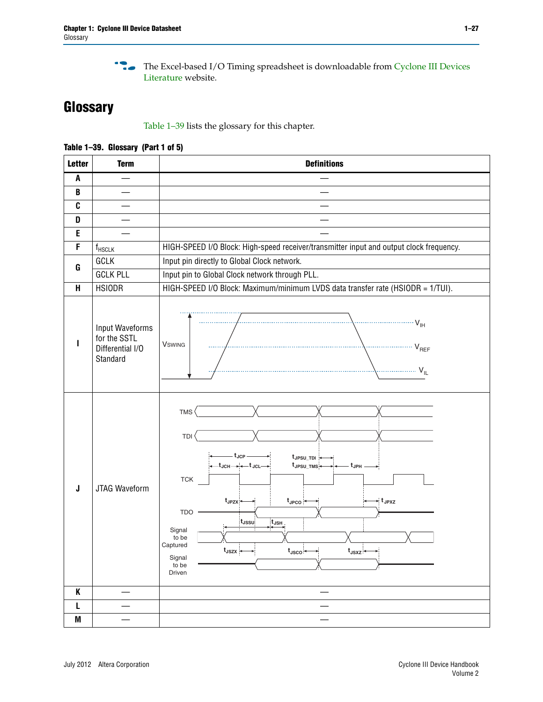**f The Excel-based I/O Timing spreadsheet is downloadable from Cyclone III Devices** [Literature](http://www.altera.com/literature/lit-cyc3.jsp) website.

# <span id="page-26-0"></span>**Glossary**

[Table 1–39](#page-26-2) lists the glossary for this chapter.

<span id="page-26-1"></span>

| <b>Letter</b> | <b>Term</b>                                                     | <b>Definitions</b>                                                                                                                                                                                                                                                                                                                                                                                                                                                                                            |
|---------------|-----------------------------------------------------------------|---------------------------------------------------------------------------------------------------------------------------------------------------------------------------------------------------------------------------------------------------------------------------------------------------------------------------------------------------------------------------------------------------------------------------------------------------------------------------------------------------------------|
| A             |                                                                 |                                                                                                                                                                                                                                                                                                                                                                                                                                                                                                               |
| B             |                                                                 |                                                                                                                                                                                                                                                                                                                                                                                                                                                                                                               |
| C             |                                                                 |                                                                                                                                                                                                                                                                                                                                                                                                                                                                                                               |
| D             |                                                                 |                                                                                                                                                                                                                                                                                                                                                                                                                                                                                                               |
| E             |                                                                 |                                                                                                                                                                                                                                                                                                                                                                                                                                                                                                               |
| F             | $\mathsf{f}_{\mathsf{HSCLK}}$                                   | HIGH-SPEED I/O Block: High-speed receiver/transmitter input and output clock frequency.                                                                                                                                                                                                                                                                                                                                                                                                                       |
|               | GCLK                                                            | Input pin directly to Global Clock network.                                                                                                                                                                                                                                                                                                                                                                                                                                                                   |
| G             | <b>GCLK PLL</b>                                                 | Input pin to Global Clock network through PLL.                                                                                                                                                                                                                                                                                                                                                                                                                                                                |
| Н             | <b>HSIODR</b>                                                   | HIGH-SPEED I/O Block: Maximum/minimum LVDS data transfer rate (HSIODR = 1/TUI).                                                                                                                                                                                                                                                                                                                                                                                                                               |
|               | Input Waveforms<br>for the SSTL<br>Differential I/O<br>Standard | $\frac{1}{1 + \frac{1}{1 + \frac{1}{1 + \frac{1}{1 + \frac{1}{1 + \frac{1}{1 + \frac{1}{1 + \frac{1}{1 + \frac{1}{1 + \frac{1}{1 + \frac{1}{1 + \frac{1}{1 + \frac{1}{1 + \frac{1}{1 + \frac{1}{1 + \frac{1}{1 + \frac{1}{1 + \frac{1}{1 + \frac{1}{1 + \frac{1}{1 + \frac{1}{1 + \frac{1}{1 + \frac{1}{1 + \frac{1}{1 + \frac{1}{1 + \frac{1}{1 + \frac{1}{1 + \frac{1}{1 + \frac{1}{1 + \frac{1}{1 + \frac{1}{1 + \frac{$<br><b>V</b> swing<br>$V_{REF}$                                                    |
| J             | JTAG Waveform                                                   | TMS <sup></sup><br>TDI<br>- t <sub>JCP</sub> –<br>t <sub>JPSU_TDI</sub> +<br>$-t_{\mathsf{JCH}\longrightarrow\leftarrow}t_{\mathsf{JCL}\longrightarrow}$<br>$t_{\text{JPSU\_TMS}} \longleftarrow$<br>$ t_{\sf JPH}$<br><b>TCK</b><br>t <sub>JPZX</sub><br>$\star$ t <sub>JPXZ</sub><br>$t_{\text{JPCO}}$<br><b>TDO</b><br>$\overline{t_{JSH}}$<br>t <sub>JSSU</sub><br>Signal<br>to be<br>Captured<br>ų<br>$t_{\text{JSZX}}$<br>$t_{\rm JSCO} \longleftrightarrow$<br>$t_{JSXZ}$<br>Signal<br>to be<br>Driven |
| K             |                                                                 |                                                                                                                                                                                                                                                                                                                                                                                                                                                                                                               |
| L             |                                                                 |                                                                                                                                                                                                                                                                                                                                                                                                                                                                                                               |
| M             | —                                                               |                                                                                                                                                                                                                                                                                                                                                                                                                                                                                                               |

<span id="page-26-2"></span>**Table 1–39. Glossary (Part 1 of 5)**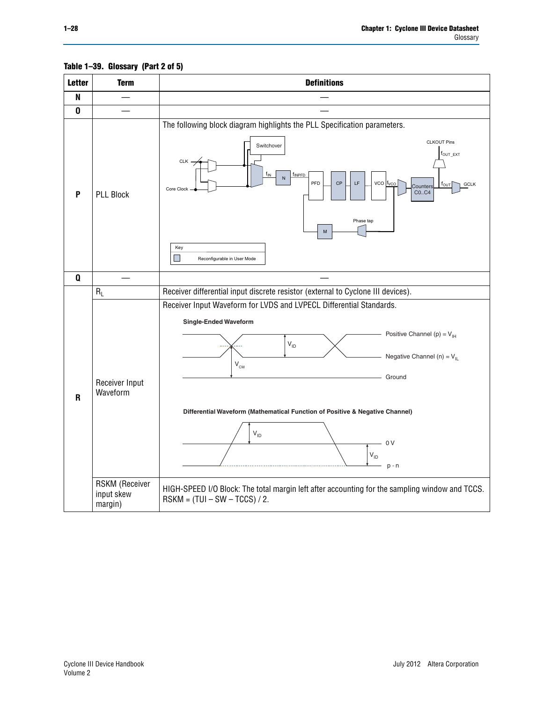<span id="page-27-0"></span>

**Table 1–39. Glossary (Part 2 of 5)**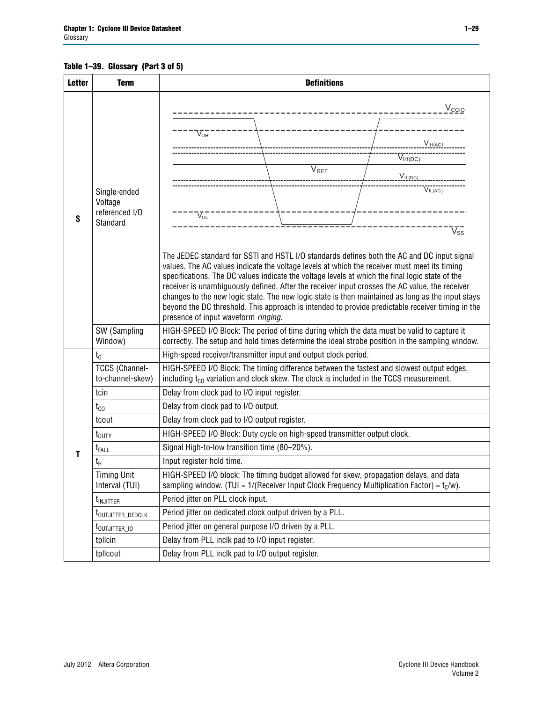## **Table 1–39. Glossary (Part 3 of 5)**

<span id="page-28-0"></span>

| <b>Letter</b> | <b>Term</b>                                           | <b>Definitions</b>                                                                                                                                                                                                                                                                                                                                                                                                                                                                                                                                                                                                                                                                                                                                                                                               |  |  |  |  |  |
|---------------|-------------------------------------------------------|------------------------------------------------------------------------------------------------------------------------------------------------------------------------------------------------------------------------------------------------------------------------------------------------------------------------------------------------------------------------------------------------------------------------------------------------------------------------------------------------------------------------------------------------------------------------------------------------------------------------------------------------------------------------------------------------------------------------------------------------------------------------------------------------------------------|--|--|--|--|--|
| S             | Single-ended<br>Voltage<br>referenced I/O<br>Standard | V <sub>CCIO</sub><br>$V_{OH}$<br>V <sub>IH(AC)</sub><br>$\rm V_{IH(DC)}$<br>$\overline{V}_{REF}$<br>$V_{ILOC}$<br>VIL(AC)<br>$\rm V_{oL}^-$<br>$\rm V_{ss}^-$<br>The JEDEC standard for SSTI and HSTL I/O standards defines both the AC and DC input signal<br>values. The AC values indicate the voltage levels at which the receiver must meet its timing<br>specifications. The DC values indicate the voltage levels at which the final logic state of the<br>receiver is unambiguously defined. After the receiver input crosses the AC value, the receiver<br>changes to the new logic state. The new logic state is then maintained as long as the input stays<br>beyond the DC threshold. This approach is intended to provide predictable receiver timing in the<br>presence of input waveform ringing. |  |  |  |  |  |
|               | SW (Sampling<br>Window)                               | HIGH-SPEED I/O Block: The period of time during which the data must be valid to capture it<br>correctly. The setup and hold times determine the ideal strobe position in the sampling window.                                                                                                                                                                                                                                                                                                                                                                                                                                                                                                                                                                                                                    |  |  |  |  |  |
|               | $t_c$                                                 | High-speed receiver/transmitter input and output clock period.                                                                                                                                                                                                                                                                                                                                                                                                                                                                                                                                                                                                                                                                                                                                                   |  |  |  |  |  |
|               | <b>TCCS (Channel-</b><br>to-channel-skew)             | HIGH-SPEED I/O Block: The timing difference between the fastest and slowest output edges,<br>including t <sub>co</sub> variation and clock skew. The clock is included in the TCCS measurement.                                                                                                                                                                                                                                                                                                                                                                                                                                                                                                                                                                                                                  |  |  |  |  |  |
|               | tcin                                                  | Delay from clock pad to I/O input register.                                                                                                                                                                                                                                                                                                                                                                                                                                                                                                                                                                                                                                                                                                                                                                      |  |  |  |  |  |
|               | $t_{\rm CO}$                                          | Delay from clock pad to I/O output.                                                                                                                                                                                                                                                                                                                                                                                                                                                                                                                                                                                                                                                                                                                                                                              |  |  |  |  |  |
|               | tcout                                                 | Delay from clock pad to I/O output register.                                                                                                                                                                                                                                                                                                                                                                                                                                                                                                                                                                                                                                                                                                                                                                     |  |  |  |  |  |
|               | t <sub>DUTY</sub>                                     | HIGH-SPEED I/O Block: Duty cycle on high-speed transmitter output clock.                                                                                                                                                                                                                                                                                                                                                                                                                                                                                                                                                                                                                                                                                                                                         |  |  |  |  |  |
| Τ             | $t_{\text{FALL}}$                                     | Signal High-to-low transition time (80-20%).                                                                                                                                                                                                                                                                                                                                                                                                                                                                                                                                                                                                                                                                                                                                                                     |  |  |  |  |  |
|               | t <sub>Η</sub>                                        | Input register hold time.                                                                                                                                                                                                                                                                                                                                                                                                                                                                                                                                                                                                                                                                                                                                                                                        |  |  |  |  |  |
|               | Timing Unit<br>Interval (TUI)                         | HIGH-SPEED I/O block: The timing budget allowed for skew, propagation delays, and data<br>sampling window. (TUI = $1/($ Receiver Input Clock Frequency Multiplication Factor) = $t_c/w$ ).                                                                                                                                                                                                                                                                                                                                                                                                                                                                                                                                                                                                                       |  |  |  |  |  |
|               | t <sub>INJITTER</sub>                                 | Period jitter on PLL clock input.                                                                                                                                                                                                                                                                                                                                                                                                                                                                                                                                                                                                                                                                                                                                                                                |  |  |  |  |  |
|               | t <sub>outjitter_dedclk</sub>                         | Period jitter on dedicated clock output driven by a PLL.                                                                                                                                                                                                                                                                                                                                                                                                                                                                                                                                                                                                                                                                                                                                                         |  |  |  |  |  |
|               | t <sub>outjitter_io</sub>                             | Period jitter on general purpose I/O driven by a PLL.                                                                                                                                                                                                                                                                                                                                                                                                                                                                                                                                                                                                                                                                                                                                                            |  |  |  |  |  |
|               | tpllcin                                               | Delay from PLL inclk pad to I/O input register.                                                                                                                                                                                                                                                                                                                                                                                                                                                                                                                                                                                                                                                                                                                                                                  |  |  |  |  |  |
|               | tpllcout                                              | Delay from PLL inclk pad to I/O output register.                                                                                                                                                                                                                                                                                                                                                                                                                                                                                                                                                                                                                                                                                                                                                                 |  |  |  |  |  |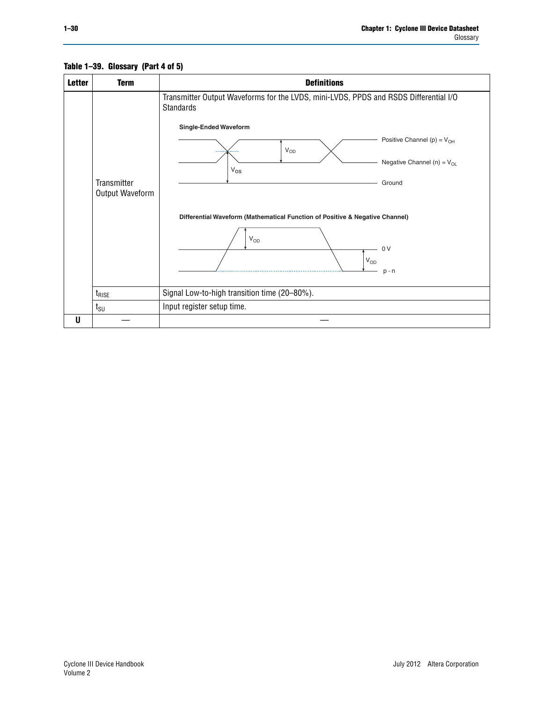<span id="page-29-0"></span>

| <b>Letter</b> | <b>Term</b>                    | <b>Definitions</b>                                                                                                                |
|---------------|--------------------------------|-----------------------------------------------------------------------------------------------------------------------------------|
|               |                                | Transmitter Output Waveforms for the LVDS, mini-LVDS, PPDS and RSDS Differential I/O<br>Standards<br><b>Single-Ended Waveform</b> |
|               |                                | Positive Channel (p) = $V_{OH}$<br>$V_{OD}$                                                                                       |
|               |                                | Negative Channel (n) = $V_{OL}$<br>$V_{OS}$                                                                                       |
|               | Transmitter<br>Output Waveform | Ground                                                                                                                            |
|               |                                | Differential Waveform (Mathematical Function of Positive & Negative Channel)                                                      |
|               |                                | $V_{OD}$<br>0 <sub>V</sub>                                                                                                        |
|               |                                | $\mathsf{V}_{\mathsf{OD}}$<br>$p - n$                                                                                             |
|               | $t_{\text{RISE}}$              | Signal Low-to-high transition time (20-80%).                                                                                      |
|               | $t_{\text{SU}}$                | Input register setup time.                                                                                                        |
| U             |                                |                                                                                                                                   |

## **Table 1–39. Glossary (Part 4 of 5)**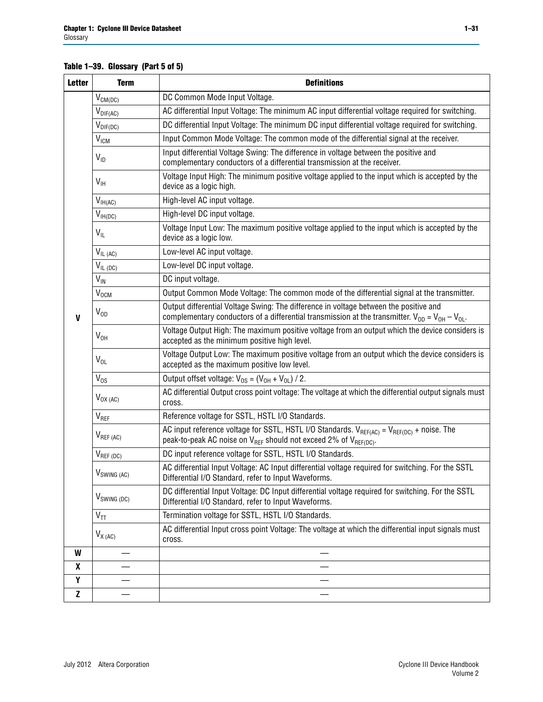## **Table 1–39. Glossary (Part 5 of 5)**

| <b>Letter</b>    | <b>Term</b>               | <b>Definitions</b>                                                                                                                                                                                |
|------------------|---------------------------|---------------------------------------------------------------------------------------------------------------------------------------------------------------------------------------------------|
|                  | $V_{CM(DC)}$              | DC Common Mode Input Voltage.                                                                                                                                                                     |
|                  | $V_{DIF(AC)}$             | AC differential Input Voltage: The minimum AC input differential voltage required for switching.                                                                                                  |
|                  | $V_{DIF(DC)}$             | DC differential Input Voltage: The minimum DC input differential voltage required for switching.                                                                                                  |
|                  | V <sub>ICM</sub>          | Input Common Mode Voltage: The common mode of the differential signal at the receiver.                                                                                                            |
|                  | $V_{ID}$                  | Input differential Voltage Swing: The difference in voltage between the positive and<br>complementary conductors of a differential transmission at the receiver.                                  |
|                  | $V_{\text{IH}}$           | Voltage Input High: The minimum positive voltage applied to the input which is accepted by the<br>device as a logic high.                                                                         |
|                  | $V_{IH(AC)}$              | High-level AC input voltage.                                                                                                                                                                      |
|                  | $V_{IH(DC)}$              | High-level DC input voltage.                                                                                                                                                                      |
|                  | $V_{IL}$                  | Voltage Input Low: The maximum positive voltage applied to the input which is accepted by the<br>device as a logic low.                                                                           |
|                  | $V_{IL(AC)}$              | Low-level AC input voltage.                                                                                                                                                                       |
|                  | $V_{IL(DC)}$              | Low-level DC input voltage.                                                                                                                                                                       |
|                  | $V_{\text{IN}}$           | DC input voltage.                                                                                                                                                                                 |
|                  | V <sub>OCM</sub>          | Output Common Mode Voltage: The common mode of the differential signal at the transmitter.                                                                                                        |
| $\mathbf{V}$     | $V_{OD}$                  | Output differential Voltage Swing: The difference in voltage between the positive and<br>complementary conductors of a differential transmission at the transmitter. $V_{OD} = V_{OH} - V_{OL}$ . |
|                  | $V_{OH}$                  | Voltage Output High: The maximum positive voltage from an output which the device considers is<br>accepted as the minimum positive high level.                                                    |
|                  | $V_{OL}$                  | Voltage Output Low: The maximum positive voltage from an output which the device considers is<br>accepted as the maximum positive low level.                                                      |
|                  | $V_{OS}$                  | Output offset voltage: $V_{OS} = (V_{OH} + V_{OL}) / 2$ .                                                                                                                                         |
|                  | $V_{OX(AC)}$              | AC differential Output cross point voltage: The voltage at which the differential output signals must<br>cross.                                                                                   |
|                  | $V_{REF}$                 | Reference voltage for SSTL, HSTL I/O Standards.                                                                                                                                                   |
|                  | $V_{REF\,(AC)}$           | AC input reference voltage for SSTL, HSTL I/O Standards. $V_{REF(AC)} = V_{REF(DC)} + noise$ . The<br>peak-to-peak AC noise on V <sub>REF</sub> should not exceed 2% of V <sub>REF(DC)</sub> .    |
|                  | $V_{REF(DC)}$             | DC input reference voltage for SSTL, HSTL I/O Standards.                                                                                                                                          |
|                  | $V_{\textrm{SWING (AC)}}$ | AC differential Input Voltage: AC Input differential voltage required for switching. For the SSTL<br>Differential I/O Standard, refer to Input Waveforms.                                         |
|                  | $V_{SWING (DC)}$          | DC differential Input Voltage: DC Input differential voltage required for switching. For the SSTL<br>Differential I/O Standard, refer to Input Waveforms.                                         |
|                  | $V_{TT}$                  | Termination voltage for SSTL, HSTL I/O Standards.                                                                                                                                                 |
|                  | $V_{X(AC)}$               | AC differential Input cross point Voltage: The voltage at which the differential input signals must<br>cross.                                                                                     |
| W                |                           |                                                                                                                                                                                                   |
| $\boldsymbol{x}$ |                           |                                                                                                                                                                                                   |
| Y                |                           |                                                                                                                                                                                                   |
| $\mathbf{Z}$     |                           |                                                                                                                                                                                                   |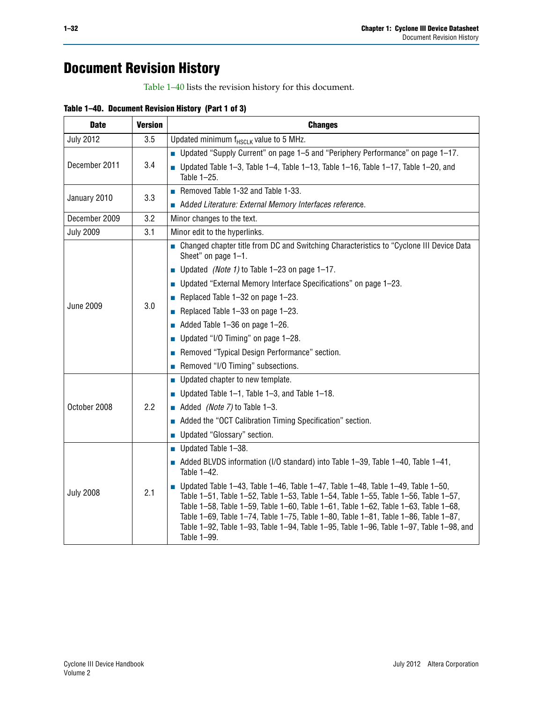# **Document Revision History**

[Table 1–40](#page-31-0) lists the revision history for this document.

<span id="page-31-0"></span>

| <b>Date</b>      | <b>Version</b> | <b>Changes</b>                                                                                                                                                                                                                                                                                                                                                                                                                                                                |
|------------------|----------------|-------------------------------------------------------------------------------------------------------------------------------------------------------------------------------------------------------------------------------------------------------------------------------------------------------------------------------------------------------------------------------------------------------------------------------------------------------------------------------|
| <b>July 2012</b> | 3.5            | Updated minimum $f_{HSCLK}$ value to 5 MHz.                                                                                                                                                                                                                                                                                                                                                                                                                                   |
|                  |                | ■ Updated "Supply Current" on page 1–5 and "Periphery Performance" on page 1–17.                                                                                                                                                                                                                                                                                                                                                                                              |
| December 2011    | 3.4            | $\blacksquare$ Updated Table 1-3, Table 1-4, Table 1-13, Table 1-16, Table 1-17, Table 1-20, and<br>Table 1-25.                                                                                                                                                                                                                                                                                                                                                               |
| January 2010     | 3.3            | Removed Table 1-32 and Table 1-33.                                                                                                                                                                                                                                                                                                                                                                                                                                            |
|                  |                | Added Literature: External Memory Interfaces reference.                                                                                                                                                                                                                                                                                                                                                                                                                       |
| December 2009    | 3.2            | Minor changes to the text.                                                                                                                                                                                                                                                                                                                                                                                                                                                    |
| <b>July 2009</b> | 3.1            | Minor edit to the hyperlinks.                                                                                                                                                                                                                                                                                                                                                                                                                                                 |
|                  |                | • Changed chapter title from DC and Switching Characteristics to "Cyclone III Device Data<br>Sheet" on page 1-1.                                                                                                                                                                                                                                                                                                                                                              |
|                  |                | ■ Updated <i>(Note 1)</i> to Table 1-23 on page 1-17.                                                                                                                                                                                                                                                                                                                                                                                                                         |
|                  |                | ■ Updated "External Memory Interface Specifications" on page 1-23.                                                                                                                                                                                                                                                                                                                                                                                                            |
|                  | 3.0            | Replaced Table $1-32$ on page $1-23$ .                                                                                                                                                                                                                                                                                                                                                                                                                                        |
| <b>June 2009</b> |                | Replaced Table $1-33$ on page $1-23$ .                                                                                                                                                                                                                                                                                                                                                                                                                                        |
|                  |                | $\blacksquare$ Added Table 1-36 on page 1-26.                                                                                                                                                                                                                                                                                                                                                                                                                                 |
|                  |                | Updated "I/O Timing" on page $1-28$ .                                                                                                                                                                                                                                                                                                                                                                                                                                         |
|                  |                | Removed "Typical Design Performance" section.                                                                                                                                                                                                                                                                                                                                                                                                                                 |
|                  |                | Removed "I/O Timing" subsections.                                                                                                                                                                                                                                                                                                                                                                                                                                             |
|                  |                | Updated chapter to new template.                                                                                                                                                                                                                                                                                                                                                                                                                                              |
|                  |                | ■ Updated Table $1-1$ , Table $1-3$ , and Table $1-18$ .                                                                                                                                                                                                                                                                                                                                                                                                                      |
| October 2008     | 2.2            | Added (Note 7) to Table $1-3$ .                                                                                                                                                                                                                                                                                                                                                                                                                                               |
|                  |                | Added the "OCT Calibration Timing Specification" section.                                                                                                                                                                                                                                                                                                                                                                                                                     |
|                  |                | Updated "Glossary" section.                                                                                                                                                                                                                                                                                                                                                                                                                                                   |
|                  |                | $\blacksquare$ Updated Table 1-38.                                                                                                                                                                                                                                                                                                                                                                                                                                            |
|                  |                | Added BLVDS information (I/O standard) into Table 1-39, Table 1-40, Table 1-41,<br>Table 1-42.                                                                                                                                                                                                                                                                                                                                                                                |
| <b>July 2008</b> | 2.1            | <b>Journal</b> Updated Table 1-43, Table 1-46, Table 1-47, Table 1-48, Table 1-49, Table 1-50,<br>Table 1-51, Table 1-52, Table 1-53, Table 1-54, Table 1-55, Table 1-56, Table 1-57,<br>Table 1-58, Table 1-59, Table 1-60, Table 1-61, Table 1-62, Table 1-63, Table 1-68,<br>Table 1-69, Table 1-74, Table 1-75, Table 1-80, Table 1-81, Table 1-86, Table 1-87,<br>Table 1-92, Table 1-93, Table 1-94, Table 1-95, Table 1-96, Table 1-97, Table 1-98, and<br>Table 1-99. |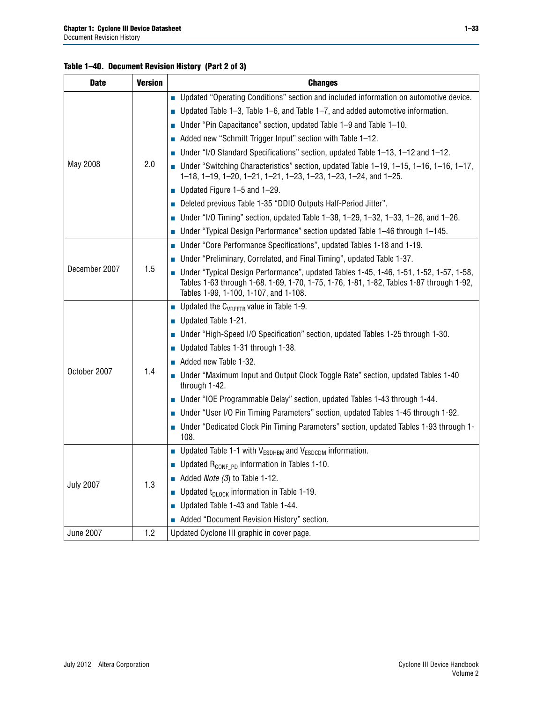## **Table 1–40. Document Revision History (Part 2 of 3)**

| <b>Date</b>      | <b>Version</b> | <b>Changes</b>                                                                                                                                                                                                             |
|------------------|----------------|----------------------------------------------------------------------------------------------------------------------------------------------------------------------------------------------------------------------------|
|                  |                | ■ Updated "Operating Conditions" section and included information on automotive device.                                                                                                                                    |
|                  |                | Updated Table 1–3, Table 1–6, and Table 1–7, and added automotive information.                                                                                                                                             |
|                  |                | Under "Pin Capacitance" section, updated Table 1–9 and Table 1–10.<br>П                                                                                                                                                    |
|                  |                | Added new "Schmitt Trigger Input" section with Table 1-12.                                                                                                                                                                 |
|                  |                | Under "I/O Standard Specifications" section, updated Table 1-13, 1-12 and 1-12.                                                                                                                                            |
| May 2008         | 2.0            | Under "Switching Characteristics" section, updated Table 1-19, 1-15, 1-16, 1-16, 1-17,<br>1-18, 1-19, 1-20, 1-21, 1-21, 1-23, 1-23, 1-23, 1-24, and 1-25.                                                                  |
|                  |                | Updated Figure 1-5 and 1-29.<br>П                                                                                                                                                                                          |
|                  |                | Deleted previous Table 1-35 "DDIO Outputs Half-Period Jitter".<br>П                                                                                                                                                        |
|                  |                | Under "I/O Timing" section, updated Table 1-38, 1-29, 1-32, 1-33, 1-26, and 1-26.                                                                                                                                          |
|                  |                | ■ Under "Typical Design Performance" section updated Table 1-46 through 1-145.                                                                                                                                             |
|                  |                | Under "Core Performance Specifications", updated Tables 1-18 and 1-19.<br>П                                                                                                                                                |
|                  |                | Under "Preliminary, Correlated, and Final Timing", updated Table 1-37.                                                                                                                                                     |
| December 2007    | 1.5            | Under "Typical Design Performance", updated Tables 1-45, 1-46, 1-51, 1-52, 1-57, 1-58,<br>Tables 1-63 through 1-68. 1-69, 1-70, 1-75, 1-76, 1-81, 1-82, Tables 1-87 through 1-92,<br>Tables 1-99, 1-100, 1-107, and 1-108. |
|                  |                | <b>Updated the C</b> <sub>VRFFTB</sub> value in Table 1-9.                                                                                                                                                                 |
|                  |                | Updated Table 1-21.<br>П                                                                                                                                                                                                   |
|                  |                | Under "High-Speed I/O Specification" section, updated Tables 1-25 through 1-30.                                                                                                                                            |
|                  |                | Updated Tables 1-31 through 1-38.<br>П                                                                                                                                                                                     |
|                  |                | Added new Table 1-32.                                                                                                                                                                                                      |
| October 2007     | 1.4            | ■ Under "Maximum Input and Output Clock Toggle Rate" section, updated Tables 1-40<br>through 1-42.                                                                                                                         |
|                  |                | Under "IOE Programmable Delay" section, updated Tables 1-43 through 1-44.                                                                                                                                                  |
|                  |                | Under "User I/O Pin Timing Parameters" section, updated Tables 1-45 through 1-92.<br>П                                                                                                                                     |
|                  |                | Under "Dedicated Clock Pin Timing Parameters" section, updated Tables 1-93 through 1-<br>108.                                                                                                                              |
|                  |                | Updated Table 1-1 with V <sub>ESDHBM</sub> and V <sub>ESDCDM</sub> information.                                                                                                                                            |
|                  |                | <b>Updated R<sub>CONF PD</sub></b> information in Tables 1-10.                                                                                                                                                             |
| <b>July 2007</b> | 1.3            | Added Note (3) to Table 1-12.<br>$\Box$                                                                                                                                                                                    |
|                  |                | Updated $t_{\text{DL0CK}}$ information in Table 1-19.                                                                                                                                                                      |
|                  |                | Updated Table 1-43 and Table 1-44.<br>П                                                                                                                                                                                    |
|                  |                | Added "Document Revision History" section.<br>П                                                                                                                                                                            |
| <b>June 2007</b> | 1.2            | Updated Cyclone III graphic in cover page.                                                                                                                                                                                 |